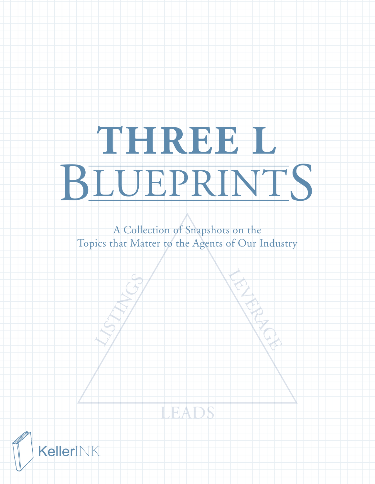# **THREE L** BLUEPRINTS

A Collection of Snapshots on the Topics that Matter to the Agents of Our Industry



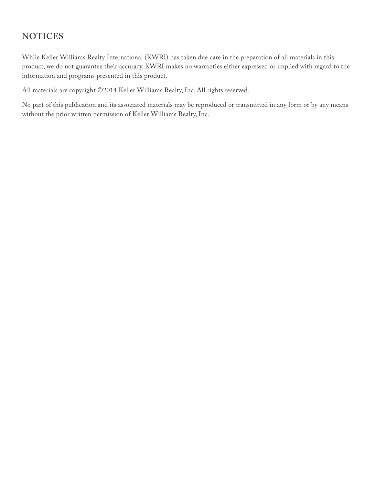# **NOTICES**

While Keller Williams Realty International (KWRI) has taken due care in the preparation of all materials in this product, we do not guarantee their accuracy. KWRI makes no warranties either expressed or implied with regard to the information and programs presented in this product.

All materials are copyright ©2014 Keller Williams Realty, Inc. All rights reserved.

No part of this publication and its associated materials may be reproduced or transmitted in any form or by any means without the prior written permission of Keller Williams Realty, Inc.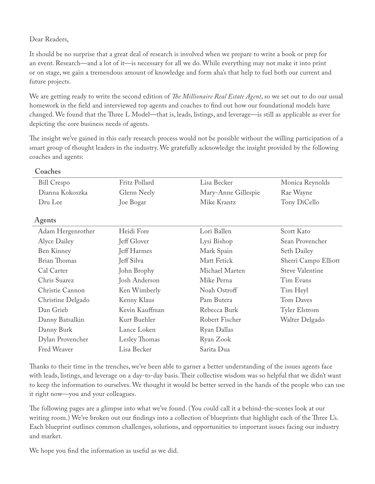#### Dear Readers,

**Coaches**

It should be no surprise that a great deal of research is involved when we prepare to write a book or prep for an event. Research—and a lot of it—is necessary for all we do. While everything may not make it into print or on stage, we gain a tremendous amount of knowledge and form aha's that help to fuel both our current and future projects.

We are getting ready to write the second edition of *Te Millionaire Real Estate Agent*, so we set out to do our usual homework in the feld and interviewed top agents and coaches to fnd out how our foundational models have changed. We found that the Three L Model—that is, leads, listings, and leverage—is still as applicable as ever for depicting the core business needs of agents.

The insight we've gained in this early research process would not be possible without the willing participation of a smart group of thought leaders in the industry. We gratefully acknowledge the insight provided by the following coaches and agents:

| Cualillo            |                |                     |                        |
|---------------------|----------------|---------------------|------------------------|
| <b>Bill Crespo</b>  | Fritz Pollard  | Lisa Becker         | Monica Reynolds        |
| Dianna Kokoszka     | Glenn Neely    | Mary-Anne Gillespie | Rae Wayne              |
| Dru Lee             | Joe Bogar      | Mike Krantz         | Tony DiCello           |
| Agents              |                |                     |                        |
| Adam Hergenrother   | Heidi Fore     | Lori Ballen         | Scott Kato             |
| Alyce Dailey        | Jeff Glover    | Lysi Bishop         | Sean Provencher        |
| Ben Kinney          | Jeff Harmes    | Mark Spain          | <b>Seth Dailey</b>     |
| <b>Brian Thomas</b> | Jeff Silva     | Matt Fetick         | Sherri Campo Elliott   |
| Cal Carter          | John Brophy    | Michael Marten      | <b>Steve Valentine</b> |
| Chris Suarez        | Josh Anderson  | Mike Perna          | Tim Evans              |
| Christie Cannon     | Ken Wimberly   | Noah Ostroff        | Tim Heyl               |
| Christine Delgado   | Kenny Klaus    | Pam Butera          | Tom Daves              |
| Dan Grieb           | Kevin Kauffman | Rebecca Burk        | <b>Tyler Elstrom</b>   |
| Danny Batsalkin     | Kurt Buehler   | Robert Fischer      | Walter Delgado         |
| Danny Burk          | Lance Loken    | Ryan Dallas         |                        |
| Dylan Provencher    | Lesley Thomas  | Ryan Zook           |                        |
| Fred Weaver         | Lisa Becker    | Sarita Dua          |                        |
|                     |                |                     |                        |

Tanks to their time in the trenches, we've been able to garner a better understanding of the issues agents face with leads, listings, and leverage on a day-to-day basis. Their collective wisdom was so helpful that we didn't want to keep the information to ourselves. We thought it would be better served in the hands of the people who can use it right now—you and your colleagues.

The following pages are a glimpse into what we've found. (You could call it a behind-the-scenes look at our writing room.) We've broken out our findings into a collection of blueprints that highlight each of the Three L's. Each blueprint outlines common challenges, solutions, and opportunities to important issues facing our industry and market.

We hope you fnd the information as useful as we did.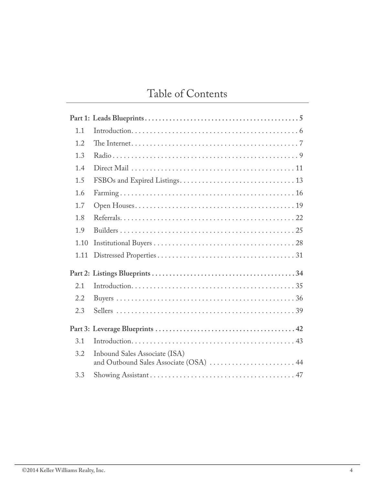# Table of Contents

| 1.1  |                                                                         |
|------|-------------------------------------------------------------------------|
| 1.2  |                                                                         |
| 1.3  |                                                                         |
| 1.4  |                                                                         |
| 1.5  |                                                                         |
| 1.6  |                                                                         |
| 1.7  |                                                                         |
| 1.8  |                                                                         |
| 1.9  |                                                                         |
| 1.10 |                                                                         |
| 1.11 |                                                                         |
|      |                                                                         |
| 2.1  |                                                                         |
| 2.2  |                                                                         |
| 2.3  |                                                                         |
|      |                                                                         |
| 3.1  |                                                                         |
| 3.2  | Inbound Sales Associate (ISA)<br>and Outbound Sales Associate (OSA)  44 |
| 3.3  |                                                                         |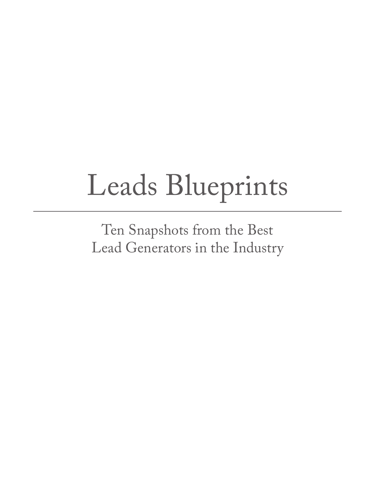# Leads Blueprints

Ten Snapshots from the Best Lead Generators in the Industry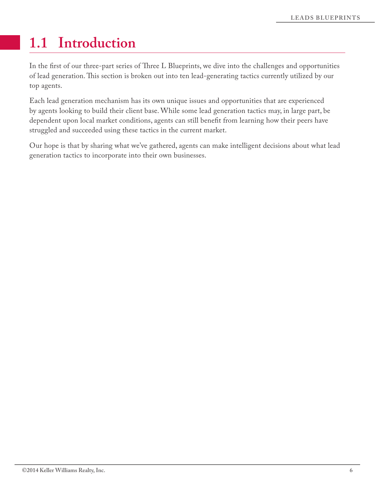# **1.1 Introduction**

In the first of our three-part series of Three L Blueprints, we dive into the challenges and opportunities of lead generation. This section is broken out into ten lead-generating tactics currently utilized by our top agents.

Each lead generation mechanism has its own unique issues and opportunities that are experienced by agents looking to build their client base. While some lead generation tactics may, in large part, be dependent upon local market conditions, agents can still beneft from learning how their peers have struggled and succeeded using these tactics in the current market.

Our hope is that by sharing what we've gathered, agents can make intelligent decisions about what lead generation tactics to incorporate into their own businesses.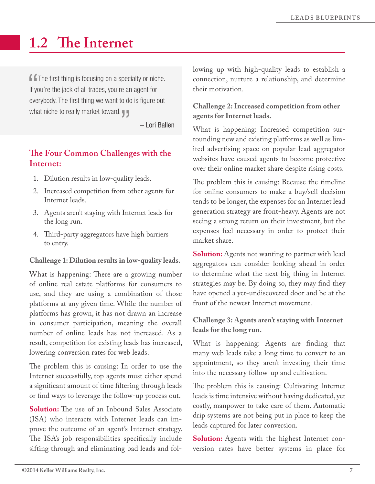# **1.2 Te Internet**

**f f** The first thing is focusing on a specialty or niche. If you're the jack of all trades, you're an agent for everybody. The first thing we want to do is figure out what niche to really market toward.

– Lori Ballen

# **Te Four Common Challenges with the Internet:**

- 1. Dilution results in low-quality leads.
- 2. Increased competition from other agents for Internet leads.
- 3. Agents aren't staying with Internet leads for the long run.
- 4. Third-party aggregators have high barriers to entry.

#### **Challenge 1: Dilution results in low-quality leads.**

What is happening: There are a growing number of online real estate platforms for consumers to use, and they are using a combination of those platforms at any given time. While the number of platforms has grown, it has not drawn an increase in consumer participation, meaning the overall number of online leads has not increased. As a result, competition for existing leads has increased, lowering conversion rates for web leads.

The problem this is causing: In order to use the Internet successfully, top agents must either spend a signifcant amount of time fltering through leads or fnd ways to leverage the follow-up process out.

**Solution:** The use of an Inbound Sales Associate (ISA) who interacts with Internet leads can improve the outcome of an agent's Internet strategy. The ISA's job responsibilities specifically include sifting through and eliminating bad leads and following up with high-quality leads to establish a connection, nurture a relationship, and determine their motivation.

#### **Challenge 2: Increased competition from other agents for Internet leads.**

What is happening: Increased competition surrounding new and existing platforms as well as limited advertising space on popular lead aggregator websites have caused agents to become protective over their online market share despite rising costs.

The problem this is causing: Because the timeline for online consumers to make a buy/sell decision tends to be longer, the expenses for an Internet lead generation strategy are front-heavy. Agents are not seeing a strong return on their investment, but the expenses feel necessary in order to protect their market share.

**Solution:** Agents not wanting to partner with lead aggregators can consider looking ahead in order to determine what the next big thing in Internet strategies may be. By doing so, they may fnd they have opened a yet-undiscovered door and be at the front of the newest Internet movement.

#### **Challenge 3: Agents aren't staying with Internet leads for the long run.**

What is happening: Agents are fnding that many web leads take a long time to convert to an appointment, so they aren't investing their time into the necessary follow-up and cultivation.

The problem this is causing: Cultivating Internet leads is time intensive without having dedicated, yet costly, manpower to take care of them. Automatic drip systems are not being put in place to keep the leads captured for later conversion.

**Solution:** Agents with the highest Internet conversion rates have better systems in place for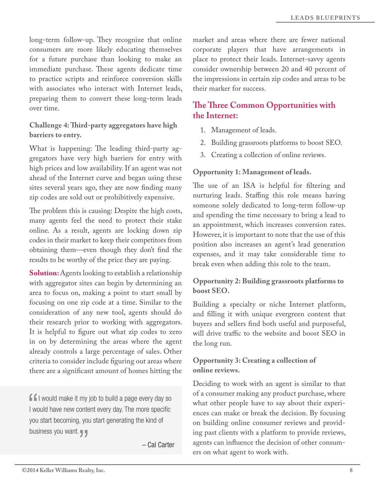long-term follow-up. They recognize that online consumers are more likely educating themselves for a future purchase than looking to make an immediate purchase. These agents dedicate time to practice scripts and reinforce conversion skills with associates who interact with Internet leads, preparing them to convert these long-term leads over time.

#### **Challenge 4: Tird-party aggregators have high barriers to entry.**

What is happening: The leading third-party aggregators have very high barriers for entry with high prices and low availability. If an agent was not ahead of the Internet curve and began using these sites several years ago, they are now fnding many zip codes are sold out or prohibitively expensive.

The problem this is causing: Despite the high costs, many agents feel the need to protect their stake online. As a result, agents are locking down zip codes in their market to keep their competitors from obtaining them—even though they don't fnd the results to be worthy of the price they are paying.

**Solution:** Agents looking to establish a relationship with aggregator sites can begin by determining an area to focus on, making a point to start small by focusing on one zip code at a time. Similar to the consideration of any new tool, agents should do their research prior to working with aggregators. It is helpful to fgure out what zip codes to zero in on by determining the areas where the agent already controls a large percentage of sales. Other criteria to consider include fguring out areas where there are a signifcant amount of homes hitting the

 $\blacksquare$  I would make it my job to build a page every day so I would have new content every day. The more specific you start becoming, you start generating the kind of business you want.

– Cal Carter

market and areas where there are fewer national corporate players that have arrangements in place to protect their leads. Internet-savvy agents consider ownership between 20 and 40 percent of the impressions in certain zip codes and areas to be their marker for success.

# **Te Tree Common Opportunities with the Internet:**

- 1. Management of leads.
- 2. Building grassroots platforms to boost SEO.
- 3. Creating a collection of online reviews.

#### **Opportunity 1: Management of leads.**

The use of an ISA is helpful for filtering and nurturing leads. Staffing this role means having someone solely dedicated to long-term follow-up and spending the time necessary to bring a lead to an appointment, which increases conversion rates. However, it is important to note that the use of this position also increases an agent's lead generation expenses, and it may take considerable time to break even when adding this role to the team.

#### **Opportunity 2: Building grassroots platforms to boost SEO.**

Building a specialty or niche Internet platform, and flling it with unique evergreen content that buyers and sellers fnd both useful and purposeful, will drive traffic to the website and boost SEO in the long run.

#### **Opportunity 3: Creating a collection of online reviews.**

Deciding to work with an agent is similar to that of a consumer making any product purchase, where what other people have to say about their experiences can make or break the decision. By focusing on building online consumer reviews and providing past clients with a platform to provide reviews, agents can infuence the decision of other consumers on what agent to work with.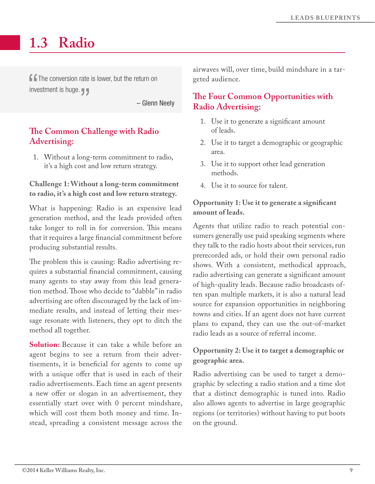# **1.3 Radio**

**f f** The conversion rate is lower, but the return on investment is huge.

– Glenn Neely

# **Te Common Challenge with Radio Advertising:**

1. Without a long-term commitment to radio, it's a high cost and low return strategy.

#### **Challenge 1: Without a long-term commitment to radio, it's a high cost and low return strategy.**

What is happening: Radio is an expensive lead generation method, and the leads provided often take longer to roll in for conversion. This means that it requires a large fnancial commitment before producing substantial results.

The problem this is causing: Radio advertising requires a substantial fnancial commitment, causing many agents to stay away from this lead generation method. Those who decide to "dabble" in radio advertising are often discouraged by the lack of immediate results, and instead of letting their message resonate with listeners, they opt to ditch the method all together.

**Solution:** Because it can take a while before an agent begins to see a return from their advertisements, it is benefcial for agents to come up with a unique offer that is used in each of their radio advertisements. Each time an agent presents a new offer or slogan in an advertisement, they essentially start over with 0 percent mindshare, which will cost them both money and time. Instead, spreading a consistent message across the

airwaves will, over time, build mindshare in a targeted audience.

# **Te Four Common Opportunities with Radio Advertising:**

- 1. Use it to generate a signifcant amount of leads.
- 2. Use it to target a demographic or geographic area.
- 3. Use it to support other lead generation methods.
- 4. Use it to source for talent.

#### **Opportunity 1: Use it to generate a signifcant amount of leads.**

Agents that utilize radio to reach potential consumers generally use paid speaking segments where they talk to the radio hosts about their services, run prerecorded ads, or hold their own personal radio shows. With a consistent, methodical approach, radio advertising can generate a signifcant amount of high-quality leads. Because radio broadcasts often span multiple markets, it is also a natural lead source for expansion opportunities in neighboring towns and cities. If an agent does not have current plans to expand, they can use the out-of-market radio leads as a source of referral income.

### **Opportunity 2: Use it to target a demographic or geographic area.**

Radio advertising can be used to target a demographic by selecting a radio station and a time slot that a distinct demographic is tuned into. Radio also allows agents to advertise in large geographic regions (or territories) without having to put boots on the ground.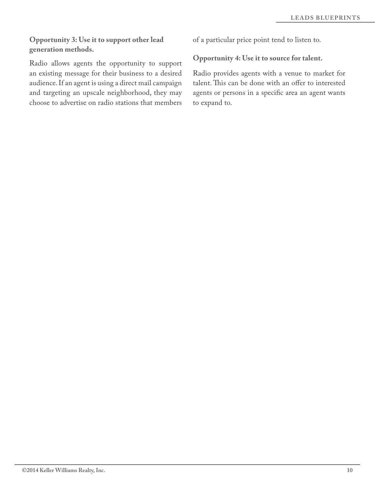#### **Opportunity 3: Use it to support other lead generation methods.**

Radio allows agents the opportunity to support an existing message for their business to a desired audience. If an agent is using a direct mail campaign and targeting an upscale neighborhood, they may choose to advertise on radio stations that members

of a particular price point tend to listen to.

#### **Opportunity 4: Use it to source for talent.**

Radio provides agents with a venue to market for talent. This can be done with an offer to interested agents or persons in a specifc area an agent wants to expand to.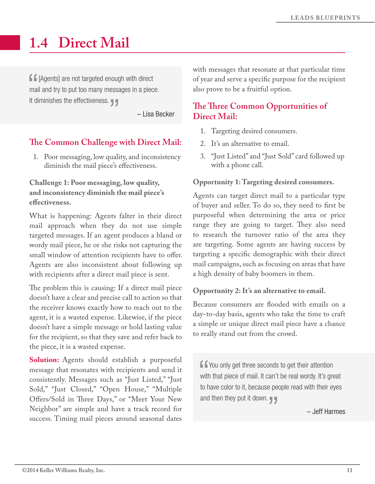# **1.4 Direct Mail**

**f f** [Agents] are not targeted enough with direct mail and try to put too many messages in a piece. It diminishes the effectiveness.

– Lisa Becker

# **Te Common Challenge with Direct Mail:**

1. Poor messaging, low quality, and inconsistency diminish the mail piece's efectiveness.

#### **Challenge 1: Poor messaging, low quality, and inconsistency diminish the mail piece's efectiveness.**

What is happening: Agents falter in their direct mail approach when they do not use simple targeted messages. If an agent produces a bland or wordy mail piece, he or she risks not capturing the small window of attention recipients have to offer. Agents are also inconsistent about following up with recipients after a direct mail piece is sent.

The problem this is causing: If a direct mail piece doesn't have a clear and precise call to action so that the receiver knows exactly how to reach out to the agent, it is a wasted expense. Likewise, if the piece doesn't have a simple message or hold lasting value for the recipient, so that they save and refer back to the piece, it is a wasted expense.

**Solution:** Agents should establish a purposeful message that resonates with recipients and send it consistently. Messages such as "Just Listed," "Just Sold," "Just Closed," "Open House," "Multiple Offers/Sold in Three Days," or "Meet Your New Neighbor" are simple and have a track record for success. Timing mail pieces around seasonal dates

with messages that resonate at that particular time of year and serve a specifc purpose for the recipient also prove to be a fruitful option.

# **Te Tree Common Opportunities of Direct Mail:**

- 1. Targeting desired consumers.
- 2. It's an alternative to email.
- 3. "Just Listed" and "Just Sold" card followed up with a phone call.

#### **Opportunity 1: Targeting desired consumers.**

Agents can target direct mail to a particular type of buyer and seller. To do so, they need to frst be purposeful when determining the area or price range they are going to target. They also need to research the turnover ratio of the area they are targeting. Some agents are having success by targeting a specifc demographic with their direct mail campaigns, such as focusing on areas that have a high density of baby boomers in them.

#### **Opportunity 2: It's an alternative to email.**

Because consumers are fooded with emails on a day-to-day basis, agents who take the time to craft a simple or unique direct mail piece have a chance to really stand out from the crowd.

**f** You only get three seconds to get their attention with that piece of mail. It can't be real wordy. It's great to have color to it, because people read with their eyes and then they put it down.

– Jeff Harmes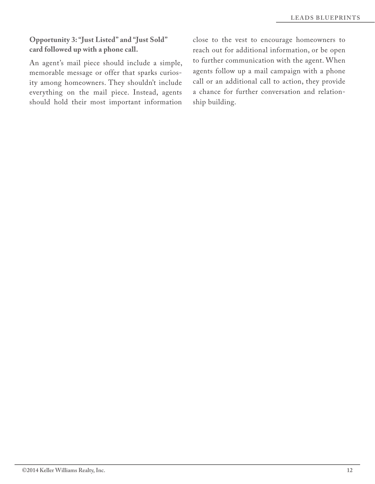#### **Opportunity 3: "Just Listed" and "Just Sold" card followed up with a phone call.**

An agent's mail piece should include a simple, memorable message or offer that sparks curiosity among homeowners. They shouldn't include everything on the mail piece. Instead, agents should hold their most important information

close to the vest to encourage homeowners to reach out for additional information, or be open to further communication with the agent. When agents follow up a mail campaign with a phone call or an additional call to action, they provide a chance for further conversation and relationship building.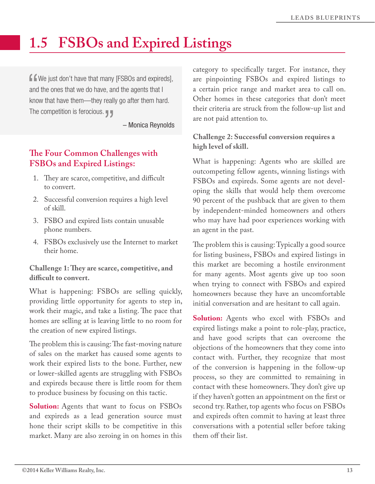# **1.5 FSBOs and Expired Listings**

**f** We just don't have that many [FSBOs and expireds], and the ones that we do have, and the agents that I know that have them—they really go after them hard. The competition is ferocious.  $\blacksquare$ 

– Monica Reynolds

# **Te Four Common Challenges with FSBOs and Expired Listings:**

- 1. They are scarce, competitive, and difficult to convert.
- 2. Successful conversion requires a high level of skill.
- 3. FSBO and expired lists contain unusable phone numbers.
- 4. FSBOs exclusively use the Internet to market their home.

**Challenge 1: Tey are scarce, competitive, and difcult to convert.** 

What is happening: FSBOs are selling quickly, providing little opportunity for agents to step in, work their magic, and take a listing. The pace that homes are selling at is leaving little to no room for the creation of new expired listings.

The problem this is causing: The fast-moving nature of sales on the market has caused some agents to work their expired lists to the bone. Further, new or lower-skilled agents are struggling with FSBOs and expireds because there is little room for them to produce business by focusing on this tactic.

**Solution:** Agents that want to focus on FSBOs and expireds as a lead generation source must hone their script skills to be competitive in this market. Many are also zeroing in on homes in this

category to specifcally target. For instance, they are pinpointing FSBOs and expired listings to a certain price range and market area to call on. Other homes in these categories that don't meet their criteria are struck from the follow-up list and are not paid attention to.

### **Challenge 2: Successful conversion requires a high level of skill.**

What is happening: Agents who are skilled are outcompeting fellow agents, winning listings with FSBOs and expireds. Some agents are not developing the skills that would help them overcome 90 percent of the pushback that are given to them by independent-minded homeowners and others who may have had poor experiences working with an agent in the past.

The problem this is causing: Typically a good source for listing business, FSBOs and expired listings in this market are becoming a hostile environment for many agents. Most agents give up too soon when trying to connect with FSBOs and expired homeowners because they have an uncomfortable initial conversation and are hesitant to call again.

**Solution:** Agents who excel with FSBOs and expired listings make a point to role-play, practice, and have good scripts that can overcome the objections of the homeowners that they come into contact with. Further, they recognize that most of the conversion is happening in the follow-up process, so they are committed to remaining in contact with these homeowners. They don't give up if they haven't gotten an appointment on the frst or second try. Rather, top agents who focus on FSBOs and expireds often commit to having at least three conversations with a potential seller before taking them off their list.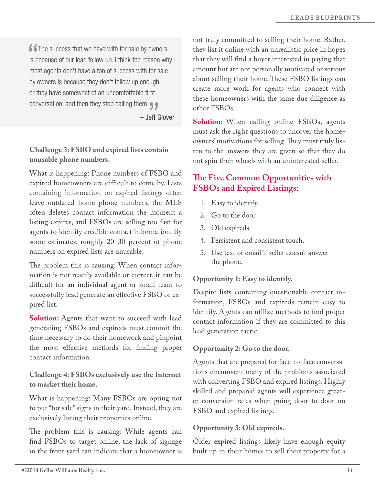$\blacksquare$  The success that we have with for sale by owners is because of our lead follow up. I think the reason why most agents don't have a ton of success with for sale by owners is because they don't follow up enough, or they have somewhat of an uncomfortable first conversation, and then they stop calling them.

– Jeff Glover

#### **Challenge 3: FSBO and expired lists contain unusable phone numbers.**

What is happening: Phone numbers of FSBO and expired homeowners are difficult to come by. Lists containing information on expired listings often leave outdated home phone numbers, the MLS often deletes contact information the moment a listing expires, and FSBOs are selling too fast for agents to identify credible contact information. By some estimates, roughly 20–30 percent of phone numbers on expired lists are unusable.

The problem this is causing: When contact information is not readily available or correct, it can be difficult for an individual agent or small team to successfully lead generate an efective FSBO or expired list.

**Solution:** Agents that want to succeed with lead generating FSBOs and expireds must commit the time necessary to do their homework and pinpoint the most efective methods for fnding proper contact information.

**Challenge 4: FSBOs exclusively use the Internet to market their home.** 

What is happening: Many FSBOs are opting not to put "for sale" signs in their yard. Instead, they are exclusively listing their properties online.

The problem this is causing: While agents can fnd FSBOs to target online, the lack of signage in the front yard can indicate that a homeowner is not truly committed to selling their home. Rather, they list it online with an unrealistic price in hopes that they will fnd a buyer interested in paying that amount but are not personally motivated or serious about selling their home. These FSBO listings can create more work for agents who connect with these homeowners with the same due diligence as other FSBOs.

**Solution:** When calling online FSBOs, agents must ask the right questions to uncover the homeowners' motivations for selling. They must truly listen to the answers they are given so that they do not spin their wheels with an uninterested seller.

# **Te Five Common Opportunities with FSBOs and Expired Listings:**

- 1. Easy to identify.
- 2. Go to the door.
- 3. Old expireds.
- 4. Persistent and consistent touch.
- 5. Use text or email if seller doesn't answer the phone.

#### **Opportunity 1: Easy to identify.**

Despite lists containing questionable contact information, FSBOs and expireds remain easy to identify. Agents can utilize methods to fnd proper contact information if they are committed to this lead generation tactic.

#### **Opportunity 2: Go to the door.**

Agents that are prepared for face-to-face conversations circumvent many of the problems associated with converting FSBO and expired listings. Highly skilled and prepared agents will experience greater conversion rates when going door-to-door on FSBO and expired listings.

#### **Opportunity 3: Old expireds.**

Older expired listings likely have enough equity built up in their homes to sell their property for a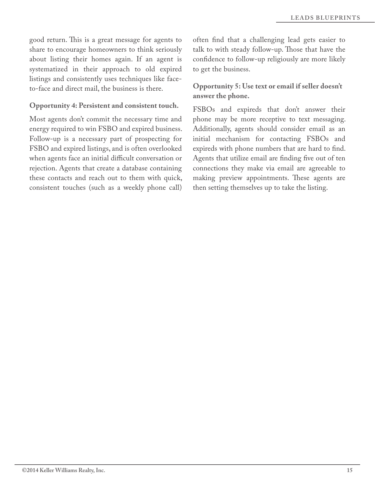good return. This is a great message for agents to share to encourage homeowners to think seriously about listing their homes again. If an agent is systematized in their approach to old expired listings and consistently uses techniques like faceto-face and direct mail, the business is there.

#### **Opportunity 4: Persistent and consistent touch.**

Most agents don't commit the necessary time and energy required to win FSBO and expired business. Follow-up is a necessary part of prospecting for FSBO and expired listings, and is often overlooked when agents face an initial difficult conversation or rejection. Agents that create a database containing these contacts and reach out to them with quick, consistent touches (such as a weekly phone call) often fnd that a challenging lead gets easier to talk to with steady follow-up. Those that have the confdence to follow-up religiously are more likely to get the business.

#### **Opportunity 5: Use text or email if seller doesn't answer the phone.**

FSBOs and expireds that don't answer their phone may be more receptive to text messaging. Additionally, agents should consider email as an initial mechanism for contacting FSBOs and expireds with phone numbers that are hard to fnd. Agents that utilize email are finding five out of ten connections they make via email are agreeable to making preview appointments. These agents are then setting themselves up to take the listing.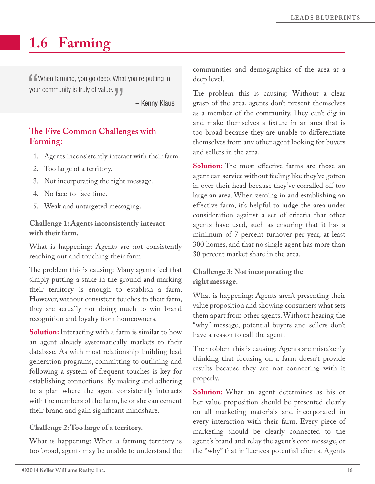# **1.6 Farming**

**f** when farming, you go deep. What you're putting in your community is truly of value.

– Kenny Klaus

# **Te Five Common Challenges with Farming:**

- 1. Agents inconsistently interact with their farm.
- 2. Too large of a territory.
- 3. Not incorporating the right message.
- 4. No face-to-face time.
- 5. Weak and untargeted messaging.

**Challenge 1: Agents inconsistently interact with their farm.**

What is happening: Agents are not consistently reaching out and touching their farm.

The problem this is causing: Many agents feel that simply putting a stake in the ground and marking their territory is enough to establish a farm. However, without consistent touches to their farm, they are actually not doing much to win brand recognition and loyalty from homeowners.

**Solution:** Interacting with a farm is similar to how an agent already systematically markets to their database. As with most relationship-building lead generation programs, committing to outlining and following a system of frequent touches is key for establishing connections. By making and adhering to a plan where the agent consistently interacts with the members of the farm, he or she can cement their brand and gain signifcant mindshare.

#### **Challenge 2: Too large of a territory.**

What is happening: When a farming territory is too broad, agents may be unable to understand the communities and demographics of the area at a deep level.

The problem this is causing: Without a clear grasp of the area, agents don't present themselves as a member of the community. They can't dig in and make themselves a fxture in an area that is too broad because they are unable to diferentiate themselves from any other agent looking for buyers and sellers in the area.

**Solution:** The most effective farms are those an agent can service without feeling like they've gotten in over their head because they've corralled off too large an area. When zeroing in and establishing an efective farm, it's helpful to judge the area under consideration against a set of criteria that other agents have used, such as ensuring that it has a minimum of 7 percent turnover per year, at least 300 homes, and that no single agent has more than 30 percent market share in the area.

#### **Challenge 3: Not incorporating the right message.**

What is happening: Agents aren't presenting their value proposition and showing consumers what sets them apart from other agents. Without hearing the "why" message, potential buyers and sellers don't have a reason to call the agent.

The problem this is causing: Agents are mistakenly thinking that focusing on a farm doesn't provide results because they are not connecting with it properly.

**Solution:** What an agent determines as his or her value proposition should be presented clearly on all marketing materials and incorporated in every interaction with their farm. Every piece of marketing should be clearly connected to the agent's brand and relay the agent's core message, or the "why" that infuences potential clients. Agents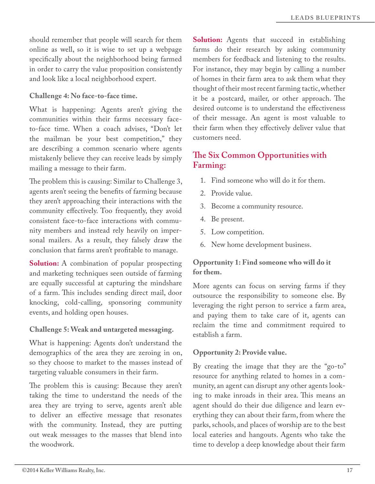should remember that people will search for them online as well, so it is wise to set up a webpage specifcally about the neighborhood being farmed in order to carry the value proposition consistently and look like a local neighborhood expert.

#### **Challenge 4: No face-to-face time.**

What is happening: Agents aren't giving the communities within their farms necessary faceto-face time. When a coach advises, "Don't let the mailman be your best competition," they are describing a common scenario where agents mistakenly believe they can receive leads by simply mailing a message to their farm.

The problem this is causing: Similar to Challenge 3, agents aren't seeing the benefts of farming because they aren't approaching their interactions with the community efectively. Too frequently, they avoid consistent face-to-face interactions with community members and instead rely heavily on impersonal mailers. As a result, they falsely draw the conclusion that farms aren't proftable to manage.

**Solution:** A combination of popular prospecting and marketing techniques seen outside of farming are equally successful at capturing the mindshare of a farm. This includes sending direct mail, door knocking, cold-calling, sponsoring community events, and holding open houses.

#### **Challenge 5: Weak and untargeted messaging.**

What is happening: Agents don't understand the demographics of the area they are zeroing in on, so they choose to market to the masses instead of targeting valuable consumers in their farm.

The problem this is causing: Because they aren't taking the time to understand the needs of the area they are trying to serve, agents aren't able to deliver an efective message that resonates with the community. Instead, they are putting out weak messages to the masses that blend into the woodwork.

**Solution:** Agents that succeed in establishing farms do their research by asking community members for feedback and listening to the results. For instance, they may begin by calling a number of homes in their farm area to ask them what they thought of their most recent farming tactic, whether it be a postcard, mailer, or other approach. The desired outcome is to understand the efectiveness of their message. An agent is most valuable to their farm when they efectively deliver value that customers need.

# **Te Six Common Opportunities with Farming:**

- 1. Find someone who will do it for them.
- 2. Provide value.
- 3. Become a community resource.
- 4. Be present.
- 5. Low competition.
- 6. New home development business.

#### **Opportunity 1: Find someone who will do it for them.**

More agents can focus on serving farms if they outsource the responsibility to someone else. By leveraging the right person to service a farm area, and paying them to take care of it, agents can reclaim the time and commitment required to establish a farm.

#### **Opportunity 2: Provide value.**

By creating the image that they are the "go-to" resource for anything related to homes in a community, an agent can disrupt any other agents looking to make inroads in their area. This means an agent should do their due diligence and learn everything they can about their farm, from where the parks, schools, and places of worship are to the best local eateries and hangouts. Agents who take the time to develop a deep knowledge about their farm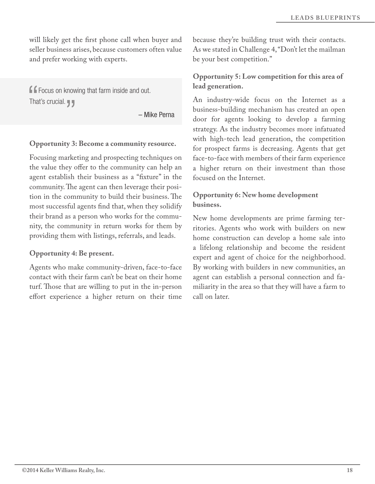will likely get the frst phone call when buyer and seller business arises, because customers often value and prefer working with experts.

**f f** Focus on knowing that farm inside and out. That's crucial.  $\blacksquare$ 

– Mike Perna

#### **Opportunity 3: Become a community resource.**

Focusing marketing and prospecting techniques on the value they offer to the community can help an agent establish their business as a "fxture" in the community. The agent can then leverage their position in the community to build their business. The most successful agents fnd that, when they solidify their brand as a person who works for the community, the community in return works for them by providing them with listings, referrals, and leads.

#### **Opportunity 4: Be present.**

Agents who make community-driven, face-to-face contact with their farm can't be beat on their home turf. Those that are willing to put in the in-person efort experience a higher return on their time because they're building trust with their contacts. As we stated in Challenge 4, "Don't let the mailman be your best competition."

#### **Opportunity 5: Low competition for this area of lead generation.**

An industry-wide focus on the Internet as a business-building mechanism has created an open door for agents looking to develop a farming strategy. As the industry becomes more infatuated with high-tech lead generation, the competition for prospect farms is decreasing. Agents that get face-to-face with members of their farm experience a higher return on their investment than those focused on the Internet.

#### **Opportunity 6: New home development business.**

New home developments are prime farming territories. Agents who work with builders on new home construction can develop a home sale into a lifelong relationship and become the resident expert and agent of choice for the neighborhood. By working with builders in new communities, an agent can establish a personal connection and familiarity in the area so that they will have a farm to call on later.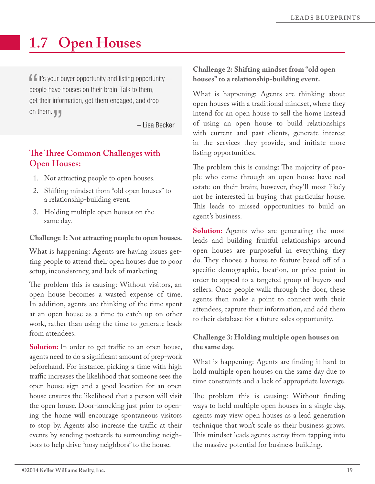# **1.7 Open Houses**

 $\blacksquare$  It's your buyer opportunity and listing opportunity people have houses on their brain. Talk to them, get their information, get them engaged, and drop on them.  $\P$ 

– Lisa Becker

# **Te Tree Common Challenges with Open Houses:**

- 1. Not attracting people to open houses.
- 2. Shifting mindset from "old open houses" to a relationship-building event.
- 3. Holding multiple open houses on the same day.

**Challenge 1: Not attracting people to open houses.**

What is happening: Agents are having issues getting people to attend their open houses due to poor setup, inconsistency, and lack of marketing.

The problem this is causing: Without visitors, an open house becomes a wasted expense of time. In addition, agents are thinking of the time spent at an open house as a time to catch up on other work, rather than using the time to generate leads from attendees.

**Solution:** In order to get traffic to an open house, agents need to do a signifcant amount of prep-work beforehand. For instance, picking a time with high traffic increases the likelihood that someone sees the open house sign and a good location for an open house ensures the likelihood that a person will visit the open house. Door-knocking just prior to opening the home will encourage spontaneous visitors to stop by. Agents also increase the traffic at their events by sending postcards to surrounding neighbors to help drive "nosy neighbors" to the house.

#### **Challenge 2: Shifting mindset from "old open houses" to a relationship-building event.**

What is happening: Agents are thinking about open houses with a traditional mindset, where they intend for an open house to sell the home instead of using an open house to build relationships with current and past clients, generate interest in the services they provide, and initiate more listing opportunities.

The problem this is causing: The majority of people who come through an open house have real estate on their brain; however, they'll most likely not be interested in buying that particular house. This leads to missed opportunities to build an agent's business.

**Solution:** Agents who are generating the most leads and building fruitful relationships around open houses are purposeful in everything they do. They choose a house to feature based off of a specifc demographic, location, or price point in order to appeal to a targeted group of buyers and sellers. Once people walk through the door, these agents then make a point to connect with their attendees, capture their information, and add them to their database for a future sales opportunity.

#### **Challenge 3: Holding multiple open houses on the same day.**

What is happening: Agents are fnding it hard to hold multiple open houses on the same day due to time constraints and a lack of appropriate leverage.

The problem this is causing: Without finding ways to hold multiple open houses in a single day, agents may view open houses as a lead generation technique that won't scale as their business grows. This mindset leads agents astray from tapping into the massive potential for business building.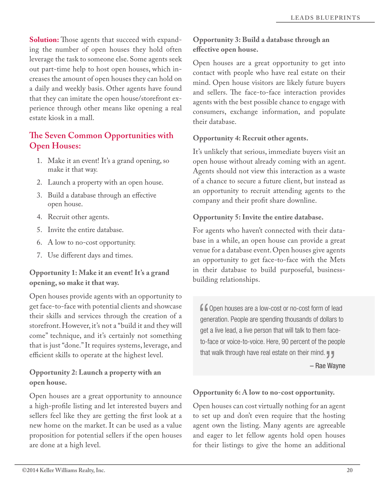**Solution:** Those agents that succeed with expanding the number of open houses they hold often leverage the task to someone else. Some agents seek out part-time help to host open houses, which increases the amount of open houses they can hold on a daily and weekly basis. Other agents have found that they can imitate the open house/storefront experience through other means like opening a real estate kiosk in a mall.

# **Te Seven Common Opportunities with Open Houses:**

- 1. Make it an event! It's a grand opening, so make it that way.
- 2. Launch a property with an open house.
- 3. Build a database through an efective open house.
- 4. Recruit other agents.
- 5. Invite the entire database.
- 6. A low to no-cost opportunity.
- 7. Use diferent days and times.

#### **Opportunity 1: Make it an event! It's a grand opening, so make it that way.**

Open houses provide agents with an opportunity to get face-to-face with potential clients and showcase their skills and services through the creation of a storefront. However, it's not a "build it and they will come" technique, and it's certainly not something that is just "done." It requires systems, leverage, and efficient skills to operate at the highest level.

#### **Opportunity 2: Launch a property with an open house.**

Open houses are a great opportunity to announce a high-profle listing and let interested buyers and sellers feel like they are getting the frst look at a new home on the market. It can be used as a value proposition for potential sellers if the open houses are done at a high level.

### **Opportunity 3: Build a database through an efective open house.**

Open houses are a great opportunity to get into contact with people who have real estate on their mind. Open house visitors are likely future buyers and sellers. The face-to-face interaction provides agents with the best possible chance to engage with consumers, exchange information, and populate their database.

#### **Opportunity 4: Recruit other agents.**

It's unlikely that serious, immediate buyers visit an open house without already coming with an agent. Agents should not view this interaction as a waste of a chance to secure a future client, but instead as an opportunity to recruit attending agents to the company and their proft share downline.

#### **Opportunity 5: Invite the entire database.**

For agents who haven't connected with their database in a while, an open house can provide a great venue for a database event. Open houses give agents an opportunity to get face-to-face with the Mets in their database to build purposeful, businessbuilding relationships.

**f** open houses are a low-cost or no-cost form of lead generation. People are spending thousands of dollars to get a live lead, a live person that will talk to them faceto-face or voice-to-voice. Here, 90 percent of the people that walk through have real estate on their mind.  $\P$ 

– Rae Wayne

#### **Opportunity 6: A low to no-cost opportunity.**

Open houses can cost virtually nothing for an agent to set up and don't even require that the hosting agent own the listing. Many agents are agreeable and eager to let fellow agents hold open houses for their listings to give the home an additional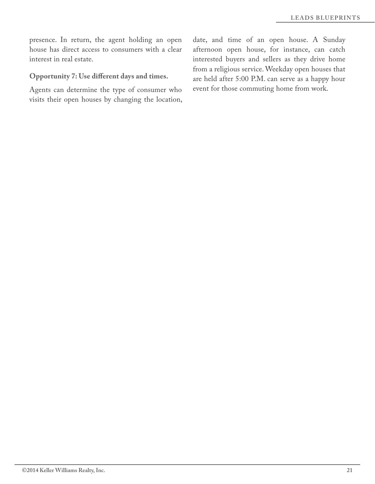presence. In return, the agent holding an open house has direct access to consumers with a clear interest in real estate.

# **Opportunity 7: Use diferent days and times.**

Agents can determine the type of consumer who visits their open houses by changing the location, date, and time of an open house. A Sunday afternoon open house, for instance, can catch interested buyers and sellers as they drive home from a religious service. Weekday open houses that are held after 5:00 P.M. can serve as a happy hour event for those commuting home from work.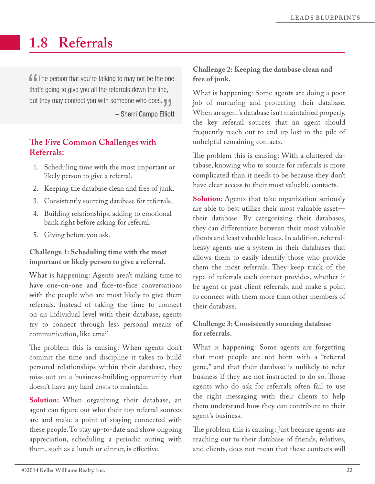# **1.8 Referrals**

 $\blacksquare$  The person that you're talking to may not be the one that's going to give you all the referrals down the line, but they may connect you with someone who does. – Sherri Campo Elliott

# **Te Five Common Challenges with Referrals:**

- 1. Scheduling time with the most important or likely person to give a referral.
- 2. Keeping the database clean and free of junk.
- 3. Consistently sourcing database for referrals.
- 4. Building relationships, adding to emotional bank right before asking for referral.
- 5. Giving before you ask.

#### **Challenge 1: Scheduling time with the most important or likely person to give a referral.**

What is happening: Agents aren't making time to have one-on-one and face-to-face conversations with the people who are most likely to give them referrals. Instead of taking the time to connect on an individual level with their database, agents try to connect through less personal means of communication, like email.

The problem this is causing: When agents don't commit the time and discipline it takes to build personal relationships within their database, they miss out on a business-building opportunity that doesn't have any hard costs to maintain.

**Solution:** When organizing their database, an agent can fgure out who their top referral sources are and make a point of staying connected with these people. To stay up-to-date and show ongoing appreciation, scheduling a periodic outing with them, such as a lunch or dinner, is efective.

#### **Challenge 2: Keeping the database clean and free of junk.**

What is happening: Some agents are doing a poor job of nurturing and protecting their database. When an agent's database isn't maintained properly, the key referral sources that an agent should frequently reach out to end up lost in the pile of unhelpful remaining contacts.

The problem this is causing: With a cluttered database, knowing who to source for referrals is more complicated than it needs to be because they don't have clear access to their most valuable contacts.

**Solution:** Agents that take organization seriously are able to best utilize their most valuable asset their database. By categorizing their databases, they can diferentiate between their most valuable clients and least valuable leads. In addition, referralheavy agents use a system in their databases that allows them to easily identify those who provide them the most referrals. They keep track of the type of referrals each contact provides, whether it be agent or past client referrals, and make a point to connect with them more than other members of their database.

### **Challenge 3: Consistently sourcing database for referrals.**

What is happening: Some agents are forgetting that most people are not born with a "referral gene," and that their database is unlikely to refer business if they are not instructed to do so. Those agents who do ask for referrals often fail to use the right messaging with their clients to help them understand how they can contribute to their agent's business.

The problem this is causing: Just because agents are reaching out to their database of friends, relatives, and clients, does not mean that these contacts will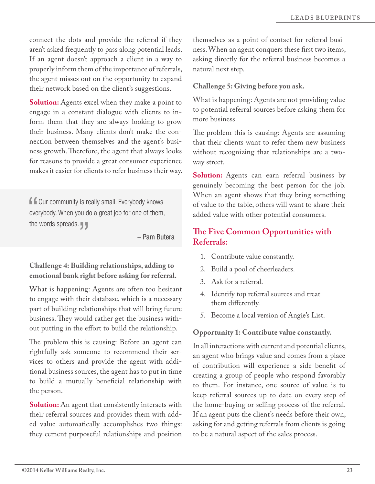connect the dots and provide the referral if they aren't asked frequently to pass along potential leads. If an agent doesn't approach a client in a way to properly inform them of the importance of referrals, the agent misses out on the opportunity to expand their network based on the client's suggestions.

**Solution:** Agents excel when they make a point to engage in a constant dialogue with clients to inform them that they are always looking to grow their business. Many clients don't make the connection between themselves and the agent's business growth. Therefore, the agent that always looks for reasons to provide a great consumer experience makes it easier for clients to refer business their way.

**f** our community is really small. Everybody knows everybody. When you do a great job for one of them, the words spreads.  $\P$ 

– Pam Butera

#### **Challenge 4: Building relationships, adding to emotional bank right before asking for referral.**

What is happening: Agents are often too hesitant to engage with their database, which is a necessary part of building relationships that will bring future business. They would rather get the business without putting in the efort to build the relationship.

The problem this is causing: Before an agent can rightfully ask someone to recommend their services to others and provide the agent with additional business sources, the agent has to put in time to build a mutually benefcial relationship with the person.

**Solution:** An agent that consistently interacts with their referral sources and provides them with added value automatically accomplishes two things: they cement purposeful relationships and position

themselves as a point of contact for referral business. When an agent conquers these frst two items, asking directly for the referral business becomes a natural next step.

#### **Challenge 5: Giving before you ask.**

What is happening: Agents are not providing value to potential referral sources before asking them for more business.

The problem this is causing: Agents are assuming that their clients want to refer them new business without recognizing that relationships are a twoway street.

**Solution:** Agents can earn referral business by genuinely becoming the best person for the job. When an agent shows that they bring something of value to the table, others will want to share their added value with other potential consumers.

# **Te Five Common Opportunities with Referrals:**

- 1. Contribute value constantly.
- 2. Build a pool of cheerleaders.
- 3. Ask for a referral.
- 4. Identify top referral sources and treat them diferently.
- 5. Become a local version of Angie's List.

#### **Opportunity 1: Contribute value constantly.**

In all interactions with current and potential clients, an agent who brings value and comes from a place of contribution will experience a side beneft of creating a group of people who respond favorably to them. For instance, one source of value is to keep referral sources up to date on every step of the home-buying or selling process of the referral. If an agent puts the client's needs before their own, asking for and getting referrals from clients is going to be a natural aspect of the sales process.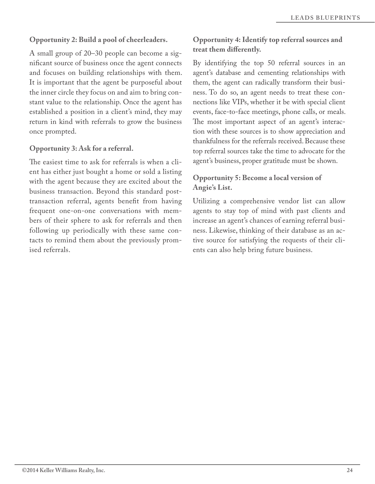#### **Opportunity 2: Build a pool of cheerleaders.**

A small group of 20–30 people can become a signifcant source of business once the agent connects and focuses on building relationships with them. It is important that the agent be purposeful about the inner circle they focus on and aim to bring constant value to the relationship. Once the agent has established a position in a client's mind, they may return in kind with referrals to grow the business once prompted.

#### **Opportunity 3: Ask for a referral.**

The easiest time to ask for referrals is when a client has either just bought a home or sold a listing with the agent because they are excited about the business transaction. Beyond this standard posttransaction referral, agents beneft from having frequent one-on-one conversations with members of their sphere to ask for referrals and then following up periodically with these same contacts to remind them about the previously promised referrals.

#### **Opportunity 4: Identify top referral sources and treat them diferently.**

By identifying the top 50 referral sources in an agent's database and cementing relationships with them, the agent can radically transform their business. To do so, an agent needs to treat these connections like VIPs, whether it be with special client events, face-to-face meetings, phone calls, or meals. The most important aspect of an agent's interaction with these sources is to show appreciation and thankfulness for the referrals received. Because these top referral sources take the time to advocate for the agent's business, proper gratitude must be shown.

#### **Opportunity 5: Become a local version of Angie's List.**

Utilizing a comprehensive vendor list can allow agents to stay top of mind with past clients and increase an agent's chances of earning referral business. Likewise, thinking of their database as an active source for satisfying the requests of their clients can also help bring future business.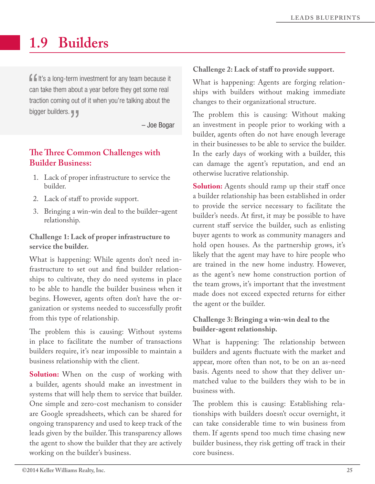# **1.9 Builders**

 $\blacksquare$ It's a long-term investment for any team because it can take them about a year before they get some real traction coming out of it when you're talking about the bigger builders.

– Joe Bogar

# **Te Tree Common Challenges with Builder Business:**

- 1. Lack of proper infrastructure to service the builder.
- 2. Lack of staff to provide support.
- 3. Bringing a win-win deal to the builder–agent relationship.

#### **Challenge 1: Lack of proper infrastructure to service the builder.**

What is happening: While agents don't need infrastructure to set out and fnd builder relationships to cultivate, they do need systems in place to be able to handle the builder business when it begins. However, agents often don't have the organization or systems needed to successfully proft from this type of relationship.

The problem this is causing: Without systems in place to facilitate the number of transactions builders require, it's near impossible to maintain a business relationship with the client.

**Solution:** When on the cusp of working with a builder, agents should make an investment in systems that will help them to service that builder. One simple and zero-cost mechanism to consider are Google spreadsheets, which can be shared for ongoing transparency and used to keep track of the leads given by the builder. This transparency allows the agent to show the builder that they are actively working on the builder's business.

#### **Challenge 2: Lack of staf to provide support.**

What is happening: Agents are forging relationships with builders without making immediate changes to their organizational structure.

The problem this is causing: Without making an investment in people prior to working with a builder, agents often do not have enough leverage in their businesses to be able to service the builder. In the early days of working with a builder, this can damage the agent's reputation, and end an otherwise lucrative relationship.

**Solution:** Agents should ramp up their staff once a builder relationship has been established in order to provide the service necessary to facilitate the builder's needs. At frst, it may be possible to have current staff service the builder, such as enlisting buyer agents to work as community managers and hold open houses. As the partnership grows, it's likely that the agent may have to hire people who are trained in the new home industry. However, as the agent's new home construction portion of the team grows, it's important that the investment made does not exceed expected returns for either the agent or the builder.

### **Challenge 3: Bringing a win-win deal to the builder-agent relationship.**

What is happening: The relationship between builders and agents fuctuate with the market and appear, more often than not, to be on an as-need basis. Agents need to show that they deliver unmatched value to the builders they wish to be in business with.

The problem this is causing: Establishing relationships with builders doesn't occur overnight, it can take considerable time to win business from them. If agents spend too much time chasing new builder business, they risk getting off track in their core business.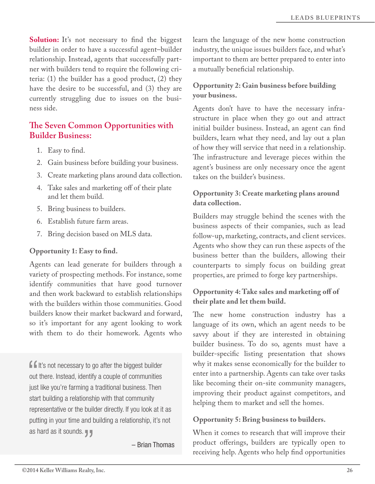Solution: It's not necessary to find the biggest builder in order to have a successful agent–builder relationship. Instead, agents that successfully partner with builders tend to require the following criteria: (1) the builder has a good product, (2) they have the desire to be successful, and (3) they are currently struggling due to issues on the business side.

# **Te Seven Common Opportunities with Builder Business:**

- 1. Easy to fnd.
- 2. Gain business before building your business.
- 3. Create marketing plans around data collection.
- 4. Take sales and marketing off of their plate and let them build.
- 5. Bring business to builders.
- 6. Establish future farm areas.
- 7. Bring decision based on MLS data.

#### **Opportunity 1: Easy to fnd.**

Agents can lead generate for builders through a variety of prospecting methods. For instance, some identify communities that have good turnover and then work backward to establish relationships with the builders within those communities. Good builders know their market backward and forward, so it's important for any agent looking to work with them to do their homework. Agents who

**If** It's not necessary to go after the biggest builder out there. Instead, identify a couple of communities just like you're farming a traditional business. Then start building a relationship with that community representative or the builder directly. If you look at it as putting in your time and building a relationship, it's not as hard as it sounds.

– Brian Thomas

learn the language of the new home construction industry, the unique issues builders face, and what's important to them are better prepared to enter into a mutually benefcial relationship.

#### **Opportunity 2: Gain business before building your business.**

Agents don't have to have the necessary infrastructure in place when they go out and attract initial builder business. Instead, an agent can fnd builders, learn what they need, and lay out a plan of how they will service that need in a relationship. The infrastructure and leverage pieces within the agent's business are only necessary once the agent takes on the builder's business.

#### **Opportunity 3: Create marketing plans around data collection.**

Builders may struggle behind the scenes with the business aspects of their companies, such as lead follow-up, marketing, contracts, and client services. Agents who show they can run these aspects of the business better than the builders, allowing their counterparts to simply focus on building great properties, are primed to forge key partnerships.

#### **Opportunity 4: Take sales and marketing of of their plate and let them build.**

The new home construction industry has a language of its own, which an agent needs to be savvy about if they are interested in obtaining builder business. To do so, agents must have a builder-specifc listing presentation that shows why it makes sense economically for the builder to enter into a partnership. Agents can take over tasks like becoming their on-site community managers, improving their product against competitors, and helping them to market and sell the homes.

#### **Opportunity 5: Bring business to builders.**

When it comes to research that will improve their product offerings, builders are typically open to receiving help. Agents who help fnd opportunities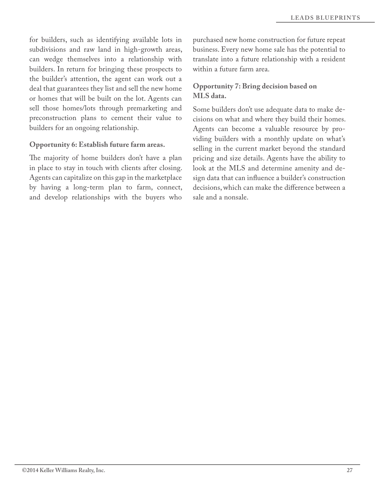for builders, such as identifying available lots in subdivisions and raw land in high-growth areas, can wedge themselves into a relationship with builders. In return for bringing these prospects to the builder's attention, the agent can work out a deal that guarantees they list and sell the new home or homes that will be built on the lot. Agents can sell those homes/lots through premarketing and preconstruction plans to cement their value to builders for an ongoing relationship.

#### **Opportunity 6: Establish future farm areas.**

The majority of home builders don't have a plan in place to stay in touch with clients after closing. Agents can capitalize on this gap in the marketplace by having a long-term plan to farm, connect, and develop relationships with the buyers who

purchased new home construction for future repeat business. Every new home sale has the potential to translate into a future relationship with a resident within a future farm area.

#### **Opportunity 7: Bring decision based on MLS data.**

Some builders don't use adequate data to make decisions on what and where they build their homes. Agents can become a valuable resource by providing builders with a monthly update on what's selling in the current market beyond the standard pricing and size details. Agents have the ability to look at the MLS and determine amenity and design data that can infuence a builder's construction decisions, which can make the diference between a sale and a nonsale.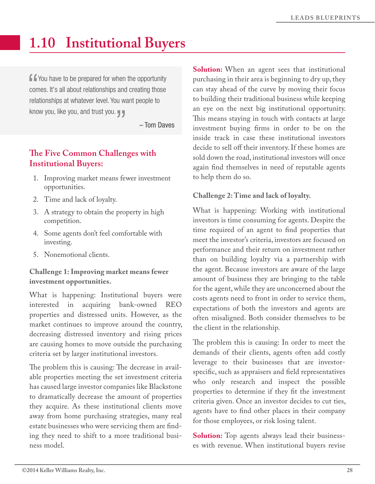# **1.10 Institutional Buyers**

**f** You have to be prepared for when the opportunity comes. It's all about relationships and creating those relationships at whatever level. You want people to know you, like you, and trust you.

– Tom Daves

# **Te Five Common Challenges with Institutional Buyers:**

- 1. Improving market means fewer investment opportunities.
- 2. Time and lack of loyalty.
- 3. A strategy to obtain the property in high competition.
- 4. Some agents don't feel comfortable with investing.
- 5. Nonemotional clients.

#### **Challenge 1: Improving market means fewer investment opportunities.**

What is happening: Institutional buyers were interested in acquiring bank-owned REO properties and distressed units. However, as the market continues to improve around the country, decreasing distressed inventory and rising prices are causing homes to move outside the purchasing criteria set by larger institutional investors.

The problem this is causing: The decrease in available properties meeting the set investment criteria has caused large investor companies like Blackstone to dramatically decrease the amount of properties they acquire. As these institutional clients move away from home purchasing strategies, many real estate businesses who were servicing them are fnding they need to shift to a more traditional business model.

**Solution:** When an agent sees that institutional purchasing in their area is beginning to dry up, they can stay ahead of the curve by moving their focus to building their traditional business while keeping an eye on the next big institutional opportunity. This means staying in touch with contacts at large investment buying frms in order to be on the inside track in case these institutional investors decide to sell off their inventory. If these homes are sold down the road, institutional investors will once again fnd themselves in need of reputable agents to help them do so.

#### **Challenge 2: Time and lack of loyalty.**

What is happening: Working with institutional investors is time consuming for agents. Despite the time required of an agent to fnd properties that meet the investor's criteria, investors are focused on performance and their return on investment rather than on building loyalty via a partnership with the agent. Because investors are aware of the large amount of business they are bringing to the table for the agent, while they are unconcerned about the costs agents need to front in order to service them, expectations of both the investors and agents are often misaligned. Both consider themselves to be the client in the relationship.

The problem this is causing: In order to meet the demands of their clients, agents often add costly leverage to their businesses that are investorspecifc, such as appraisers and feld representatives who only research and inspect the possible properties to determine if they ft the investment criteria given. Once an investor decides to cut ties, agents have to fnd other places in their company for those employees, or risk losing talent.

**Solution:** Top agents always lead their businesses with revenue. When institutional buyers revise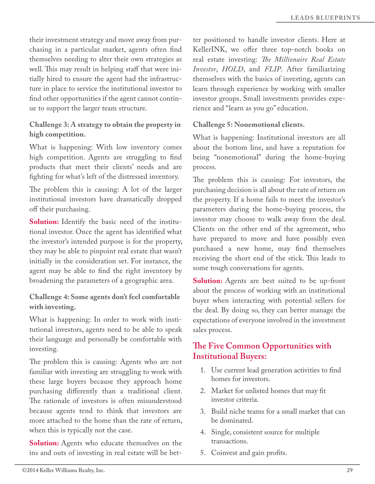their investment strategy and move away from purchasing in a particular market, agents often fnd themselves needing to alter their own strategies as well. This may result in helping staff that were initially hired to ensure the agent had the infrastructure in place to service the institutional investor to fnd other opportunities if the agent cannot continue to support the larger team structure.

**Challenge 3: A strategy to obtain the property in high competition.**

What is happening: With low inventory comes high competition. Agents are struggling to fnd products that meet their clients' needs and are fghting for what's left of the distressed inventory.

The problem this is causing: A lot of the larger institutional investors have dramatically dropped off their purchasing.

**Solution:** Identify the basic need of the institutional investor. Once the agent has identifed what the investor's intended purpose is for the property, they may be able to pinpoint real estate that wasn't initially in the consideration set. For instance, the agent may be able to fnd the right inventory by broadening the parameters of a geographic area.

#### **Challenge 4: Some agents don't feel comfortable with investing.**

What is happening: In order to work with institutional investors, agents need to be able to speak their language and personally be comfortable with investing.

The problem this is causing: Agents who are not familiar with investing are struggling to work with these large buyers because they approach home purchasing diferently than a traditional client. The rationale of investors is often misunderstood because agents tend to think that investors are more attached to the home than the rate of return, when this is typically not the case.

**Solution:** Agents who educate themselves on the ins and outs of investing in real estate will be better positioned to handle investor clients. Here at KellerINK, we offer three top-notch books on real estate investing: *Te Millionaire Real Estate Investor*, *HOLD*, and *FLIP*. After familiarizing themselves with the basics of investing, agents can learn through experience by working with smaller investor groups. Small investments provides experience and "learn as you go" education.

#### **Challenge 5: Nonemotional clients.**

What is happening: Institutional investors are all about the bottom line, and have a reputation for being "nonemotional" during the home-buying process.

The problem this is causing: For investors, the purchasing decision is all about the rate of return on the property. If a home fails to meet the investor's parameters during the home-buying process, the investor may choose to walk away from the deal. Clients on the other end of the agreement, who have prepared to move and have possibly even purchased a new home, may fnd themselves receiving the short end of the stick. This leads to some tough conversations for agents.

**Solution:** Agents are best suited to be up-front about the process of working with an institutional buyer when interacting with potential sellers for the deal. By doing so, they can better manage the expectations of everyone involved in the investment sales process.

# **Te Five Common Opportunities with Institutional Buyers:**

- 1. Use current lead generation activities to fnd homes for investors.
- 2. Market for unlisted homes that may ft investor criteria.
- 3. Build niche teams for a small market that can be dominated.
- 4. Single, consistent source for multiple transactions.
- 5. Coinvest and gain profts.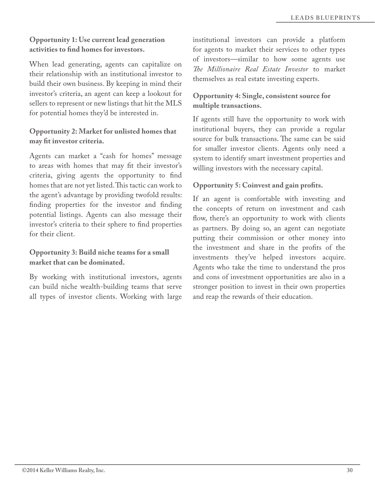#### **Opportunity 1: Use current lead generation activities to fnd homes for investors.**

When lead generating, agents can capitalize on their relationship with an institutional investor to build their own business. By keeping in mind their investor's criteria, an agent can keep a lookout for sellers to represent or new listings that hit the MLS for potential homes they'd be interested in.

**Opportunity 2: Market for unlisted homes that may ft investor criteria.** 

Agents can market a "cash for homes" message to areas with homes that may ft their investor's criteria, giving agents the opportunity to fnd homes that are not yet listed. This tactic can work to the agent's advantage by providing twofold results: fnding properties for the investor and fnding potential listings. Agents can also message their investor's criteria to their sphere to fnd properties for their client.

**Opportunity 3: Build niche teams for a small market that can be dominated.** 

By working with institutional investors, agents can build niche wealth-building teams that serve all types of investor clients. Working with large

institutional investors can provide a platform for agents to market their services to other types of investors—similar to how some agents use *Te Millionaire Real Estate Investor* to market themselves as real estate investing experts.

#### **Opportunity 4: Single, consistent source for multiple transactions.**

If agents still have the opportunity to work with institutional buyers, they can provide a regular source for bulk transactions. The same can be said for smaller investor clients. Agents only need a system to identify smart investment properties and willing investors with the necessary capital.

**Opportunity 5: Coinvest and gain profts.** 

If an agent is comfortable with investing and the concepts of return on investment and cash flow, there's an opportunity to work with clients as partners. By doing so, an agent can negotiate putting their commission or other money into the investment and share in the profts of the investments they've helped investors acquire. Agents who take the time to understand the pros and cons of investment opportunities are also in a stronger position to invest in their own properties and reap the rewards of their education.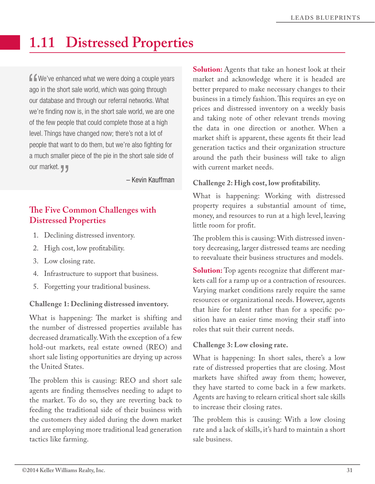# **1.11 Distressed Properties**

**f** we've enhanced what we were doing a couple years ago in the short sale world, which was going through our database and through our referral networks. What we're finding now is, in the short sale world, we are one of the few people that could complete those at a high level. Things have changed now; there's not a lot of people that want to do them, but we're also fighting for a much smaller piece of the pie in the short sale side of our market. **J** 

– Kevin Kauffman

# **Te Five Common Challenges with Distressed Properties**

- 1. Declining distressed inventory.
- 2. High cost, low proftability.
- 3. Low closing rate.
- 4. Infrastructure to support that business.
- 5. Forgetting your traditional business.

#### **Challenge 1: Declining distressed inventory.**

What is happening: The market is shifting and the number of distressed properties available has decreased dramatically. With the exception of a few hold-out markets, real estate owned (REO) and short sale listing opportunities are drying up across the United States.

The problem this is causing: REO and short sale agents are fnding themselves needing to adapt to the market. To do so, they are reverting back to feeding the traditional side of their business with the customers they aided during the down market and are employing more traditional lead generation tactics like farming.

**Solution:** Agents that take an honest look at their market and acknowledge where it is headed are better prepared to make necessary changes to their business in a timely fashion. This requires an eye on prices and distressed inventory on a weekly basis and taking note of other relevant trends moving the data in one direction or another. When a market shift is apparent, these agents ft their lead generation tactics and their organization structure around the path their business will take to align with current market needs.

#### **Challenge 2: High cost, low proftability.**

What is happening: Working with distressed property requires a substantial amount of time, money, and resources to run at a high level, leaving little room for proft.

The problem this is causing: With distressed inventory decreasing, larger distressed teams are needing to reevaluate their business structures and models.

**Solution:** Top agents recognize that different markets call for a ramp up or a contraction of resources. Varying market conditions rarely require the same resources or organizational needs. However, agents that hire for talent rather than for a specifc position have an easier time moving their staff into roles that suit their current needs.

#### **Challenge 3: Low closing rate.**

What is happening: In short sales, there's a low rate of distressed properties that are closing. Most markets have shifted away from them; however, they have started to come back in a few markets. Agents are having to relearn critical short sale skills to increase their closing rates.

The problem this is causing: With a low closing rate and a lack of skills, it's hard to maintain a short sale business.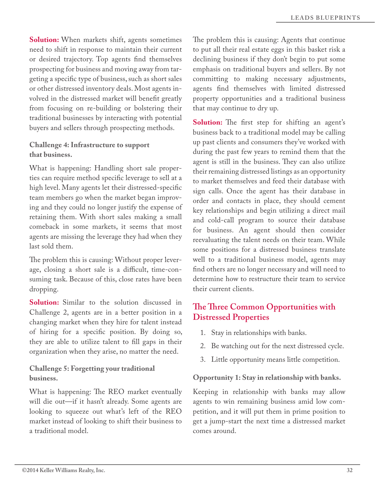**Solution:** When markets shift, agents sometimes need to shift in response to maintain their current or desired trajectory. Top agents fnd themselves prospecting for business and moving away from targeting a specifc type of business, such as short sales or other distressed inventory deals. Most agents involved in the distressed market will beneft greatly from focusing on re-building or bolstering their traditional businesses by interacting with potential buyers and sellers through prospecting methods.

#### **Challenge 4: Infrastructure to support that business.**

What is happening: Handling short sale properties can require method specifc leverage to sell at a high level. Many agents let their distressed-specifc team members go when the market began improving and they could no longer justify the expense of retaining them. With short sales making a small comeback in some markets, it seems that most agents are missing the leverage they had when they last sold them.

The problem this is causing: Without proper leverage, closing a short sale is a difficult, time-consuming task. Because of this, close rates have been dropping.

**Solution:** Similar to the solution discussed in Challenge 2, agents are in a better position in a changing market when they hire for talent instead of hiring for a specifc position. By doing so, they are able to utilize talent to fll gaps in their organization when they arise, no matter the need.

#### **Challenge 5: Forgetting your traditional business.**

What is happening: The REO market eventually will die out—if it hasn't already. Some agents are looking to squeeze out what's left of the REO market instead of looking to shift their business to a traditional model.

The problem this is causing: Agents that continue to put all their real estate eggs in this basket risk a declining business if they don't begin to put some emphasis on traditional buyers and sellers. By not committing to making necessary adjustments, agents fnd themselves with limited distressed property opportunities and a traditional business that may continue to dry up.

**Solution:** The first step for shifting an agent's business back to a traditional model may be calling up past clients and consumers they've worked with during the past few years to remind them that the agent is still in the business. They can also utilize their remaining distressed listings as an opportunity to market themselves and feed their database with sign calls. Once the agent has their database in order and contacts in place, they should cement key relationships and begin utilizing a direct mail and cold-call program to source their database for business. An agent should then consider reevaluating the talent needs on their team. While some positions for a distressed business translate well to a traditional business model, agents may fnd others are no longer necessary and will need to determine how to restructure their team to service their current clients.

# **Te Tree Common Opportunities with Distressed Properties**

- 1. Stay in relationships with banks.
- 2. Be watching out for the next distressed cycle.
- 3. Little opportunity means little competition.

#### **Opportunity 1: Stay in relationship with banks.**

Keeping in relationship with banks may allow agents to win remaining business amid low competition, and it will put them in prime position to get a jump-start the next time a distressed market comes around.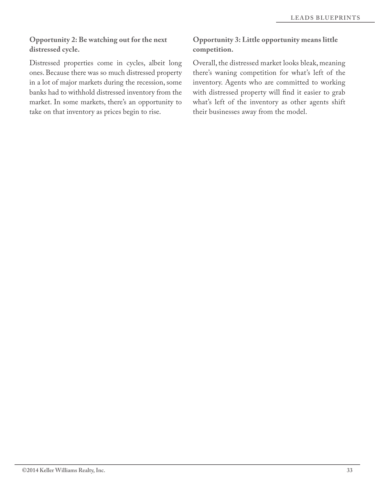#### **Opportunity 2: Be watching out for the next distressed cycle.**

Distressed properties come in cycles, albeit long ones. Because there was so much distressed property in a lot of major markets during the recession, some banks had to withhold distressed inventory from the market. In some markets, there's an opportunity to take on that inventory as prices begin to rise.

## **Opportunity 3: Little opportunity means little competition.**

Overall, the distressed market looks bleak, meaning there's waning competition for what's left of the inventory. Agents who are committed to working with distressed property will fnd it easier to grab what's left of the inventory as other agents shift their businesses away from the model.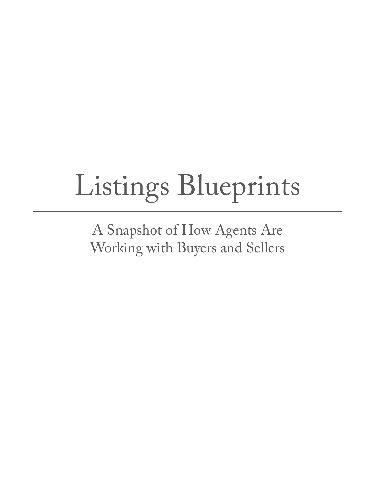# Listings Blueprints

A Snapshot of How Agents Are Working with Buyers and Sellers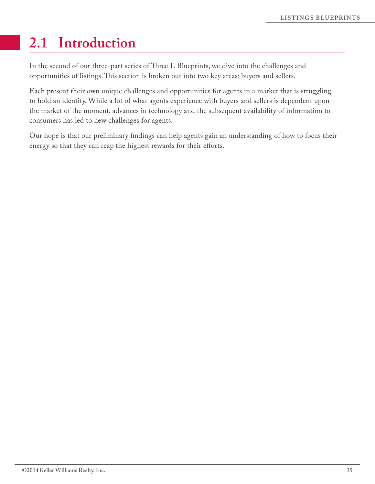# **2.1 Introduction**

In the second of our three-part series of Three L Blueprints, we dive into the challenges and opportunities of listings. This section is broken out into two key areas: buyers and sellers.

Each present their own unique challenges and opportunities for agents in a market that is struggling to hold an identity. While a lot of what agents experience with buyers and sellers is dependent upon the market of the moment, advances in technology and the subsequent availability of information to consumers has led to new challenges for agents.

Our hope is that our preliminary fndings can help agents gain an understanding of how to focus their energy so that they can reap the highest rewards for their efforts.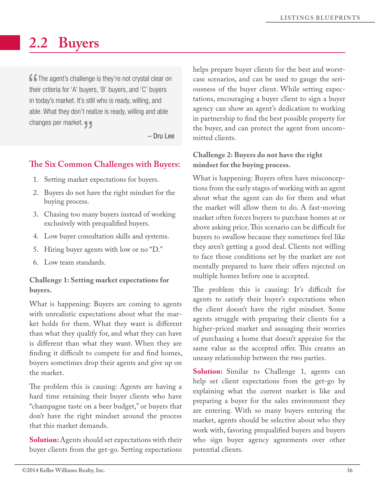# **2.2 Buyers**

**f f** The agent's challenge is they're not crystal clear on their criteria for 'A' buyers, 'B' buyers, and 'C' buyers in today's market. It's still who is ready, willing, and able. What they don't realize is ready, willing and able changes per market.

– Dru Lee

# **Te Six Common Challenges with Buyers:**

- 1. Setting market expectations for buyers.
- 2. Buyers do not have the right mindset for the buying process.
- 3. Chasing too many buyers instead of working exclusively with prequalifed buyers.
- 4. Low buyer consultation skills and systems.
- 5. Hiring buyer agents with low or no "D."
- 6. Low team standards.

#### **Challenge 1: Setting market expectations for buyers.**

What is happening: Buyers are coming to agents with unrealistic expectations about what the market holds for them. What they want is diferent than what they qualify for, and what they can have is diferent than what they want. When they are finding it difficult to compete for and find homes, buyers sometimes drop their agents and give up on the market.

The problem this is causing: Agents are having a hard time retaining their buyer clients who have "champagne taste on a beer budget," or buyers that don't have the right mindset around the process that this market demands.

**Solution:** Agents should set expectations with their buyer clients from the get-go. Setting expectations helps prepare buyer clients for the best and worstcase scenarios, and can be used to gauge the seriousness of the buyer client. While setting expectations, encouraging a buyer client to sign a buyer agency can show an agent's dedication to working in partnership to fnd the best possible property for the buyer, and can protect the agent from uncommitted clients.

#### **Challenge 2: Buyers do not have the right mindset for the buying process.**

What is happening: Buyers often have misconceptions from the early stages of working with an agent about what the agent can do for them and what the market will allow them to do. A fast-moving market often forces buyers to purchase homes at or above asking price. This scenario can be difficult for buyers to swallow because they sometimes feel like they aren't getting a good deal. Clients not willing to face those conditions set by the market are not mentally prepared to have their offers rejected on multiple homes before one is accepted.

The problem this is causing: It's difficult for agents to satisfy their buyer's expectations when the client doesn't have the right mindset. Some agents struggle with preparing their clients for a higher-priced market and assuaging their worries of purchasing a home that doesn't appraise for the same value as the accepted offer. This creates an uneasy relationship between the two parties.

**Solution:** Similar to Challenge 1, agents can help set client expectations from the get-go by explaining what the current market is like and preparing a buyer for the sales environment they are entering. With so many buyers entering the market, agents should be selective about who they work with, favoring prequalifed buyers and buyers who sign buyer agency agreements over other potential clients.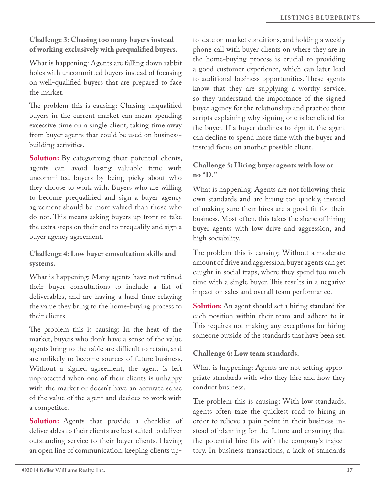#### **Challenge 3: Chasing too many buyers instead of working exclusively with prequalifed buyers.**

What is happening: Agents are falling down rabbit holes with uncommitted buyers instead of focusing on well-qualifed buyers that are prepared to face the market.

The problem this is causing: Chasing unqualified buyers in the current market can mean spending excessive time on a single client, taking time away from buyer agents that could be used on businessbuilding activities.

**Solution:** By categorizing their potential clients, agents can avoid losing valuable time with uncommitted buyers by being picky about who they choose to work with. Buyers who are willing to become prequalifed and sign a buyer agency agreement should be more valued than those who do not. This means asking buyers up front to take the extra steps on their end to prequalify and sign a buyer agency agreement.

**Challenge 4: Low buyer consultation skills and systems.**

What is happening: Many agents have not refned their buyer consultations to include a list of deliverables, and are having a hard time relaying the value they bring to the home-buying process to their clients.

The problem this is causing: In the heat of the market, buyers who don't have a sense of the value agents bring to the table are difficult to retain, and are unlikely to become sources of future business. Without a signed agreement, the agent is left unprotected when one of their clients is unhappy with the market or doesn't have an accurate sense of the value of the agent and decides to work with a competitor.

**Solution:** Agents that provide a checklist of deliverables to their clients are best suited to deliver outstanding service to their buyer clients. Having an open line of communication, keeping clients upto-date on market conditions, and holding a weekly phone call with buyer clients on where they are in the home-buying process is crucial to providing a good customer experience, which can later lead to additional business opportunities. These agents know that they are supplying a worthy service, so they understand the importance of the signed buyer agency for the relationship and practice their scripts explaining why signing one is benefcial for the buyer. If a buyer declines to sign it, the agent can decline to spend more time with the buyer and instead focus on another possible client.

### **Challenge 5: Hiring buyer agents with low or no "D."**

What is happening: Agents are not following their own standards and are hiring too quickly, instead of making sure their hires are a good ft for their business. Most often, this takes the shape of hiring buyer agents with low drive and aggression, and high sociability.

The problem this is causing: Without a moderate amount of drive and aggression, buyer agents can get caught in social traps, where they spend too much time with a single buyer. This results in a negative impact on sales and overall team performance.

**Solution:** An agent should set a hiring standard for each position within their team and adhere to it. This requires not making any exceptions for hiring someone outside of the standards that have been set.

**Challenge 6: Low team standards.**

What is happening: Agents are not setting appropriate standards with who they hire and how they conduct business.

The problem this is causing: With low standards, agents often take the quickest road to hiring in order to relieve a pain point in their business instead of planning for the future and ensuring that the potential hire fts with the company's trajectory. In business transactions, a lack of standards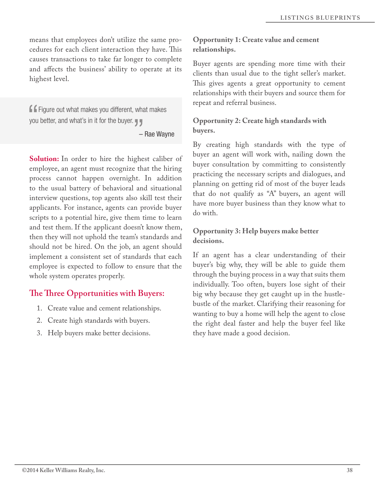means that employees don't utilize the same procedures for each client interaction they have. This causes transactions to take far longer to complete and afects the business' ability to operate at its highest level.

 Figure out what makes you different, what makes you better, and what's in it for the buyer.

– Rae Wayne

**Solution:** In order to hire the highest caliber of employee, an agent must recognize that the hiring process cannot happen overnight. In addition to the usual battery of behavioral and situational interview questions, top agents also skill test their applicants. For instance, agents can provide buyer scripts to a potential hire, give them time to learn and test them. If the applicant doesn't know them, then they will not uphold the team's standards and should not be hired. On the job, an agent should implement a consistent set of standards that each employee is expected to follow to ensure that the whole system operates properly.

# **Te Tree Opportunities with Buyers:**

- 1. Create value and cement relationships.
- 2. Create high standards with buyers.
- 3. Help buyers make better decisions.

### **Opportunity 1: Create value and cement relationships.**

Buyer agents are spending more time with their clients than usual due to the tight seller's market. This gives agents a great opportunity to cement relationships with their buyers and source them for repeat and referral business.

### **Opportunity 2: Create high standards with buyers.**

By creating high standards with the type of buyer an agent will work with, nailing down the buyer consultation by committing to consistently practicing the necessary scripts and dialogues, and planning on getting rid of most of the buyer leads that do not qualify as "A" buyers, an agent will have more buyer business than they know what to do with.

### **Opportunity 3: Help buyers make better decisions.**

If an agent has a clear understanding of their buyer's big why, they will be able to guide them through the buying process in a way that suits them individually. Too often, buyers lose sight of their big why because they get caught up in the hustlebustle of the market. Clarifying their reasoning for wanting to buy a home will help the agent to close the right deal faster and help the buyer feel like they have made a good decision.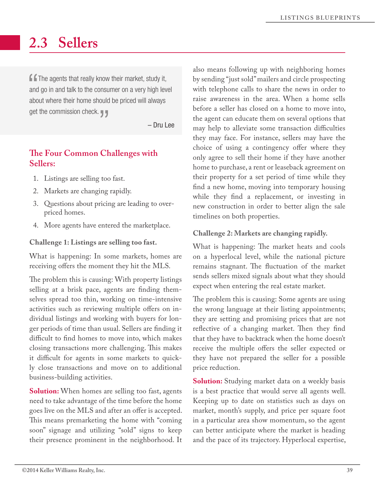# **2.3 Sellers**

 $\blacksquare$  The agents that really know their market, study it, and go in and talk to the consumer on a very high level about where their home should be priced will always get the commission check.  $\blacksquare$ 

– Dru Lee

# **Te Four Common Challenges with Sellers:**

- 1. Listings are selling too fast.
- 2. Markets are changing rapidly.
- 3. Questions about pricing are leading to overpriced homes.
- 4. More agents have entered the marketplace.

**Challenge 1: Listings are selling too fast.** 

What is happening: In some markets, homes are receiving offers the moment they hit the MLS.

The problem this is causing: With property listings selling at a brisk pace, agents are fnding themselves spread too thin, working on time-intensive activities such as reviewing multiple offers on individual listings and working with buyers for longer periods of time than usual. Sellers are fnding it difficult to find homes to move into, which makes closing transactions more challenging. This makes it difficult for agents in some markets to quickly close transactions and move on to additional business-building activities.

**Solution:** When homes are selling too fast, agents need to take advantage of the time before the home goes live on the MLS and after an offer is accepted. This means premarketing the home with "coming" soon" signage and utilizing "sold" signs to keep their presence prominent in the neighborhood. It also means following up with neighboring homes by sending "just sold" mailers and circle prospecting with telephone calls to share the news in order to raise awareness in the area. When a home sells before a seller has closed on a home to move into, the agent can educate them on several options that may help to alleviate some transaction difficulties they may face. For instance, sellers may have the choice of using a contingency offer where they only agree to sell their home if they have another home to purchase, a rent or leaseback agreement on their property for a set period of time while they fnd a new home, moving into temporary housing while they fnd a replacement, or investing in new construction in order to better align the sale timelines on both properties.

#### **Challenge 2: Markets are changing rapidly.**

What is happening: The market heats and cools on a hyperlocal level, while the national picture remains stagnant. The fluctuation of the market sends sellers mixed signals about what they should expect when entering the real estate market.

The problem this is causing: Some agents are using the wrong language at their listing appointments; they are setting and promising prices that are not reflective of a changing market. Then they find that they have to backtrack when the home doesn't receive the multiple offers the seller expected or they have not prepared the seller for a possible price reduction.

**Solution:** Studying market data on a weekly basis is a best practice that would serve all agents well. Keeping up to date on statistics such as days on market, month's supply, and price per square foot in a particular area show momentum, so the agent can better anticipate where the market is heading and the pace of its trajectory. Hyperlocal expertise,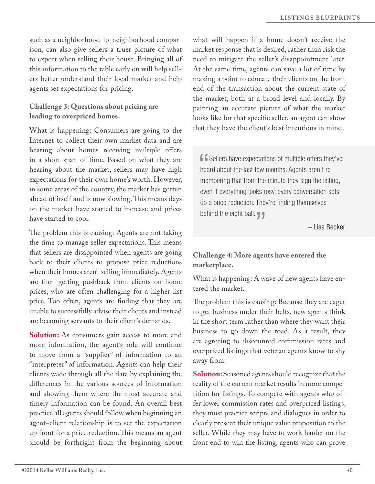such as a neighborhood-to-neighborhood comparison, can also give sellers a truer picture of what to expect when selling their house. Bringing all of this information to the table early on will help sellers better understand their local market and help agents set expectations for pricing.

#### **Challenge 3: Questions about pricing are leading to overpriced homes.**

What is happening: Consumers are going to the Internet to collect their own market data and are hearing about homes receiving multiple offers in a short span of time. Based on what they are hearing about the market, sellers may have high expectations for their own home's worth. However, in some areas of the country, the market has gotten ahead of itself and is now slowing. This means days on the market have started to increase and prices have started to cool.

The problem this is causing: Agents are not taking the time to manage seller expectations. This means that sellers are disappointed when agents are going back to their clients to propose price reductions when their homes aren't selling immediately. Agents are then getting pushback from clients on home prices, who are often challenging for a higher list price. Too often, agents are fnding that they are unable to successfully advise their clients and instead are becoming servants to their client's demands.

**Solution:** As consumers gain access to more and more information, the agent's role will continue to move from a "supplier" of information to an "interpreter" of information. Agents can help their clients wade through all the data by explaining the diferences in the various sources of information and showing them where the most accurate and timely information can be found. An overall best practice all agents should follow when beginning an agent–client relationship is to set the expectation up front for a price reduction. This means an agent should be forthright from the beginning about

what will happen if a home doesn't receive the market response that is desired, rather than risk the need to mitigate the seller's disappointment later. At the same time, agents can save a lot of time by making a point to educate their clients on the front end of the transaction about the current state of the market, both at a broad level and locally. By painting an accurate picture of what the market looks like for that specifc seller, an agent can show that they have the client's best intentions in mind.

**f** Sellers have expectations of multiple offers they've heard about the last few months. Agents aren't remembering that from the minute they sign the listing, even if everything looks rosy, every conversation sets up a price reduction. They're finding themselves behind the eight ball.

– Lisa Becker

### **Challenge 4: More agents have entered the marketplace.**

What is happening: A wave of new agents have entered the market.

The problem this is causing: Because they are eager to get business under their belts, new agents think in the short term rather than where they want their business to go down the road. As a result, they are agreeing to discounted commission rates and overpriced listings that veteran agents know to shy away from.

**Solution:** Seasoned agents should recognize that the reality of the current market results in more competition for listings. To compete with agents who offer lower commission rates and overpriced listings, they must practice scripts and dialogues in order to clearly present their unique value proposition to the seller. While they may have to work harder on the front end to win the listing, agents who can prove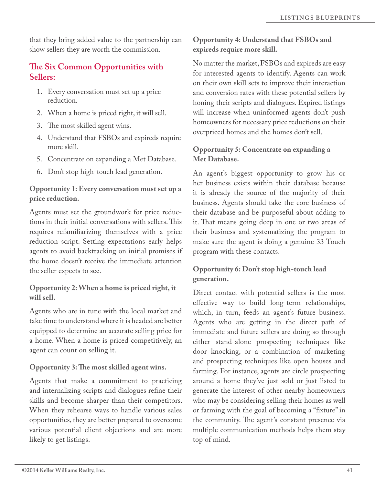that they bring added value to the partnership can show sellers they are worth the commission.

# **Te Six Common Opportunities with Sellers:**

- 1. Every conversation must set up a price reduction.
- 2. When a home is priced right, it will sell.
- 3. The most skilled agent wins.
- 4. Understand that FSBOs and expireds require more skill.
- 5. Concentrate on expanding a Met Database.
- 6. Don't stop high-touch lead generation.

#### **Opportunity 1: Every conversation must set up a price reduction.**

Agents must set the groundwork for price reductions in their initial conversations with sellers. This requires refamiliarizing themselves with a price reduction script. Setting expectations early helps agents to avoid backtracking on initial promises if the home doesn't receive the immediate attention the seller expects to see.

#### **Opportunity 2: When a home is priced right, it will sell.**

Agents who are in tune with the local market and take time to understand where it is headed are better equipped to determine an accurate selling price for a home. When a home is priced competitively, an agent can count on selling it.

### **Opportunity 3: Te most skilled agent wins.**

Agents that make a commitment to practicing and internalizing scripts and dialogues refne their skills and become sharper than their competitors. When they rehearse ways to handle various sales opportunities, they are better prepared to overcome various potential client objections and are more likely to get listings.

### **Opportunity 4: Understand that FSBOs and expireds require more skill.**

No matter the market, FSBOs and expireds are easy for interested agents to identify. Agents can work on their own skill sets to improve their interaction and conversion rates with these potential sellers by honing their scripts and dialogues. Expired listings will increase when uninformed agents don't push homeowners for necessary price reductions on their overpriced homes and the homes don't sell.

### **Opportunity 5: Concentrate on expanding a Met Database.**

An agent's biggest opportunity to grow his or her business exists within their database because it is already the source of the majority of their business. Agents should take the core business of their database and be purposeful about adding to it. That means going deep in one or two areas of their business and systematizing the program to make sure the agent is doing a genuine 33 Touch program with these contacts.

# **Opportunity 6: Don't stop high-touch lead generation.**

Direct contact with potential sellers is the most efective way to build long-term relationships, which, in turn, feeds an agent's future business. Agents who are getting in the direct path of immediate and future sellers are doing so through either stand-alone prospecting techniques like door knocking, or a combination of marketing and prospecting techniques like open houses and farming. For instance, agents are circle prospecting around a home they've just sold or just listed to generate the interest of other nearby homeowners who may be considering selling their homes as well or farming with the goal of becoming a "fxture" in the community. The agent's constant presence via multiple communication methods helps them stay top of mind.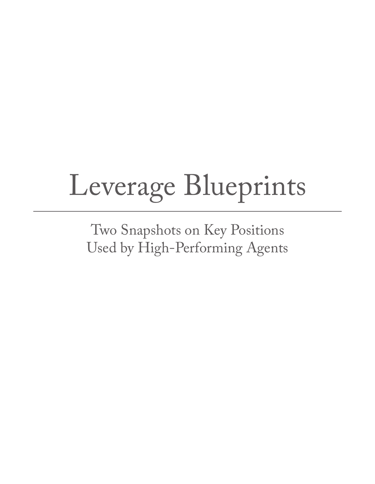# Leverage Blueprints

Two Snapshots on Key Positions Used by High-Performing Agents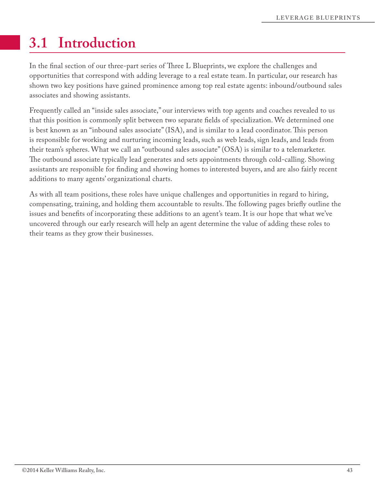# **3.1 Introduction**

In the final section of our three-part series of Three L Blueprints, we explore the challenges and opportunities that correspond with adding leverage to a real estate team. In particular, our research has shown two key positions have gained prominence among top real estate agents: inbound/outbound sales associates and showing assistants.

Frequently called an "inside sales associate," our interviews with top agents and coaches revealed to us that this position is commonly split between two separate felds of specialization. We determined one is best known as an "inbound sales associate" (ISA), and is similar to a lead coordinator. This person is responsible for working and nurturing incoming leads, such as web leads, sign leads, and leads from their team's spheres. What we call an "outbound sales associate" (OSA) is similar to a telemarketer. The outbound associate typically lead generates and sets appointments through cold-calling. Showing assistants are responsible for fnding and showing homes to interested buyers, and are also fairly recent additions to many agents' organizational charts.

As with all team positions, these roles have unique challenges and opportunities in regard to hiring, compensating, training, and holding them accountable to results. The following pages briefly outline the issues and benefts of incorporating these additions to an agent's team. It is our hope that what we've uncovered through our early research will help an agent determine the value of adding these roles to their teams as they grow their businesses.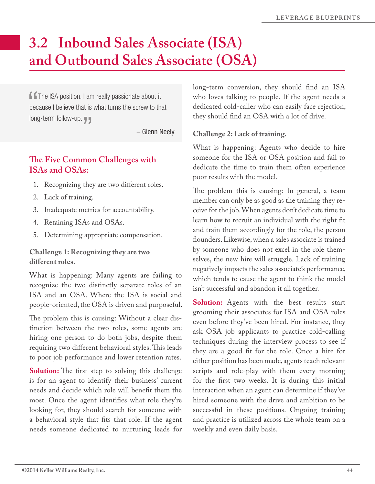# **3.2 Inbound Sales Associate (ISA) and Outbound Sales Associate (OSA)**

**f f** The ISA position. I am really passionate about it because I believe that is what turns the screw to that long-term follow-up.

– Glenn Neely

# **Te Five Common Challenges with ISAs and OSAs:**

- 1. Recognizing they are two diferent roles.
- 2. Lack of training.
- 3. Inadequate metrics for accountability.
- 4. Retaining ISAs and OSAs.
- 5. Determining appropriate compensation.

#### **Challenge 1: Recognizing they are two diferent roles.**

What is happening: Many agents are failing to recognize the two distinctly separate roles of an ISA and an OSA. Where the ISA is social and people-oriented, the OSA is driven and purposeful.

The problem this is causing: Without a clear distinction between the two roles, some agents are hiring one person to do both jobs, despite them requiring two different behavioral styles. This leads to poor job performance and lower retention rates.

**Solution:** The first step to solving this challenge is for an agent to identify their business' current needs and decide which role will beneft them the most. Once the agent identifes what role they're looking for, they should search for someone with a behavioral style that fts that role. If the agent needs someone dedicated to nurturing leads for

long-term conversion, they should fnd an ISA who loves talking to people. If the agent needs a dedicated cold-caller who can easily face rejection, they should fnd an OSA with a lot of drive.

#### **Challenge 2: Lack of training.**

What is happening: Agents who decide to hire someone for the ISA or OSA position and fail to dedicate the time to train them often experience poor results with the model.

The problem this is causing: In general, a team member can only be as good as the training they receive for the job. When agents don't dedicate time to learn how to recruit an individual with the right ft and train them accordingly for the role, the person founders. Likewise, when a sales associate is trained by someone who does not excel in the role themselves, the new hire will struggle. Lack of training negatively impacts the sales associate's performance, which tends to cause the agent to think the model isn't successful and abandon it all together.

**Solution:** Agents with the best results start grooming their associates for ISA and OSA roles even before they've been hired. For instance, they ask OSA job applicants to practice cold-calling techniques during the interview process to see if they are a good ft for the role. Once a hire for either position has been made, agents teach relevant scripts and role-play with them every morning for the frst two weeks. It is during this initial interaction when an agent can determine if they've hired someone with the drive and ambition to be successful in these positions. Ongoing training and practice is utilized across the whole team on a weekly and even daily basis.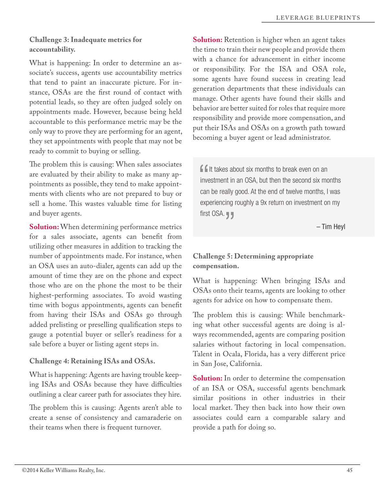### **Challenge 3: Inadequate metrics for accountability.**

What is happening: In order to determine an associate's success, agents use accountability metrics that tend to paint an inaccurate picture. For instance, OSAs are the frst round of contact with potential leads, so they are often judged solely on appointments made. However, because being held accountable to this performance metric may be the only way to prove they are performing for an agent, they set appointments with people that may not be ready to commit to buying or selling.

The problem this is causing: When sales associates are evaluated by their ability to make as many appointments as possible, they tend to make appointments with clients who are not prepared to buy or sell a home. This wastes valuable time for listing and buyer agents.

**Solution:** When determining performance metrics for a sales associate, agents can beneft from utilizing other measures in addition to tracking the number of appointments made. For instance, when an OSA uses an auto-dialer, agents can add up the amount of time they are on the phone and expect those who are on the phone the most to be their highest-performing associates. To avoid wasting time with bogus appointments, agents can beneft from having their ISAs and OSAs go through added prelisting or preselling qualifcation steps to gauge a potential buyer or seller's readiness for a sale before a buyer or listing agent steps in.

#### **Challenge 4: Retaining ISAs and OSAs.**

What is happening: Agents are having trouble keeping ISAs and OSAs because they have difficulties outlining a clear career path for associates they hire.

The problem this is causing: Agents aren't able to create a sense of consistency and camaraderie on their teams when there is frequent turnover.

**Solution:** Retention is higher when an agent takes the time to train their new people and provide them with a chance for advancement in either income or responsibility. For the ISA and OSA role, some agents have found success in creating lead generation departments that these individuals can manage. Other agents have found their skills and behavior are better suited for roles that require more responsibility and provide more compensation, and put their ISAs and OSAs on a growth path toward becoming a buyer agent or lead administrator.

**If** It takes about six months to break even on an investment in an OSA, but then the second six months can be really good. At the end of twelve months, I was experiencing roughly a 9x return on investment on my first OSA. **J** 

– Tim Heyl

### **Challenge 5: Determining appropriate compensation.**

What is happening: When bringing ISAs and OSAs onto their teams, agents are looking to other agents for advice on how to compensate them.

The problem this is causing: While benchmarking what other successful agents are doing is always recommended, agents are comparing position salaries without factoring in local compensation. Talent in Ocala, Florida, has a very diferent price in San Jose, California.

**Solution:** In order to determine the compensation of an ISA or OSA, successful agents benchmark similar positions in other industries in their local market. They then back into how their own associates could earn a comparable salary and provide a path for doing so.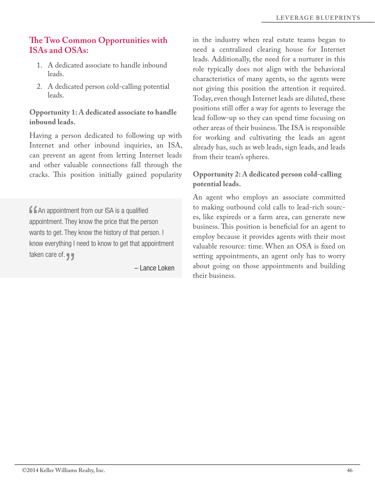# **Te Two Common Opportunities with ISAs and OSAs:**

- 1. A dedicated associate to handle inbound leads.
- 2. A dedicated person cold-calling potential leads.

**Opportunity 1: A dedicated associate to handle inbound leads.**

Having a person dedicated to following up with Internet and other inbound inquiries, an ISA, can prevent an agent from letting Internet leads and other valuable connections fall through the cracks. This position initially gained popularity

**f An appointment from our ISA is a qualified** appointment. They know the price that the person wants to get. They know the history of that person. I know everything I need to know to get that appointment taken care of.  $\P$ 

– Lance Loken

in the industry when real estate teams began to need a centralized clearing house for Internet leads. Additionally, the need for a nurturer in this role typically does not align with the behavioral characteristics of many agents, so the agents were not giving this position the attention it required. Today, even though Internet leads are diluted, these positions still offer a way for agents to leverage the lead follow-up so they can spend time focusing on other areas of their business. The ISA is responsible for working and cultivating the leads an agent already has, such as web leads, sign leads, and leads from their team's spheres.

### **Opportunity 2: A dedicated person cold-calling potential leads.**

An agent who employs an associate committed to making outbound cold calls to lead-rich sources, like expireds or a farm area, can generate new business. This position is beneficial for an agent to employ because it provides agents with their most valuable resource: time. When an OSA is fxed on setting appointments, an agent only has to worry about going on those appointments and building their business.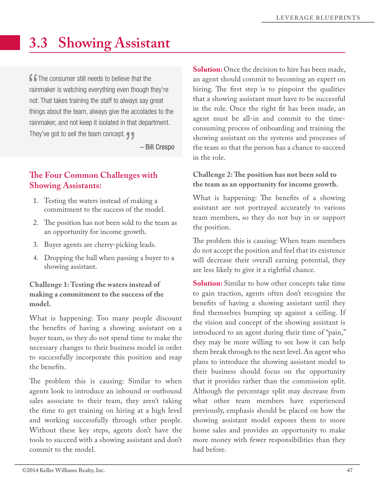# **3.3 Showing Assistant**

**f f** The consumer still needs to believe that the rainmaker is watching everything even though they're not. That takes training the staff to always say great things about the team, always give the accolades to the rainmaker, and not keep it isolated in that department. They've got to sell the team concept.

– Bill Crespo

# **The Four Common Challenges with Showing Assistants:**

- 1. Testing the waters instead of making a commitment to the success of the model.
- 2. The position has not been sold to the team as an opportunity for income growth.
- 3. Buyer agents are cherry-picking leads.
- 4. Dropping the ball when passing a buyer to a showing assistant.

#### **Challenge 1: Testing the waters instead of making a commitment to the success of the model.**

What is happening: Too many people discount the benefts of having a showing assistant on a buyer team, so they do not spend time to make the necessary changes to their business model in order to successfully incorporate this position and reap the benefts.

The problem this is causing: Similar to when agents look to introduce an inbound or outbound sales associate to their team, they aren't taking the time to get training on hiring at a high level and working successfully through other people. Without these key steps, agents don't have the tools to succeed with a showing assistant and don't commit to the model.

**Solution:** Once the decision to hire has been made, an agent should commit to becoming an expert on hiring. The first step is to pinpoint the qualities that a showing assistant must have to be successful in the role. Once the right ft has been made, an agent must be all-in and commit to the timeconsuming process of onboarding and training the showing assistant on the systems and processes of the team so that the person has a chance to succeed in the role.

### **Challenge 2: Te position has not been sold to the team as an opportunity for income growth.**

What is happening: The benefits of a showing assistant are not portrayed accurately to various team members, so they do not buy in or support the position.

The problem this is causing: When team members do not accept the position and feel that its existence will decrease their overall earning potential, they are less likely to give it a rightful chance.

**Solution:** Similar to how other concepts take time to gain traction, agents often don't recognize the benefts of having a showing assistant until they fnd themselves bumping up against a ceiling. If the vision and concept of the showing assistant is introduced to an agent during their time of "pain," they may be more willing to see how it can help them break through to the next level. An agent who plans to introduce the showing assistant model to their business should focus on the opportunity that it provides rather than the commission split. Although the percentage split may decrease from what other team members have experienced previously, emphasis should be placed on how the showing assistant model exposes them to more home sales and provides an opportunity to make more money with fewer responsibilities than they had before.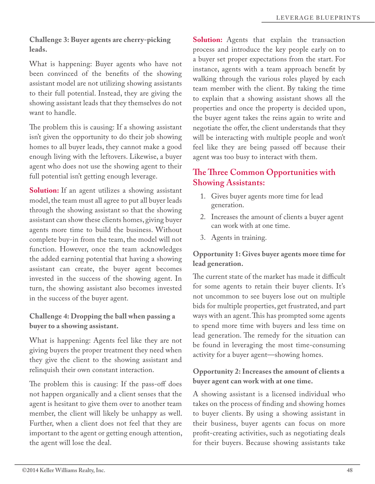#### **Challenge 3: Buyer agents are cherry-picking leads.**

What is happening: Buyer agents who have not been convinced of the benefts of the showing assistant model are not utilizing showing assistants to their full potential. Instead, they are giving the showing assistant leads that they themselves do not want to handle.

The problem this is causing: If a showing assistant isn't given the opportunity to do their job showing homes to all buyer leads, they cannot make a good enough living with the leftovers. Likewise, a buyer agent who does not use the showing agent to their full potential isn't getting enough leverage.

**Solution:** If an agent utilizes a showing assistant model, the team must all agree to put all buyer leads through the showing assistant so that the showing assistant can show these clients homes, giving buyer agents more time to build the business. Without complete buy-in from the team, the model will not function. However, once the team acknowledges the added earning potential that having a showing assistant can create, the buyer agent becomes invested in the success of the showing agent. In turn, the showing assistant also becomes invested in the success of the buyer agent.

**Challenge 4: Dropping the ball when passing a buyer to a showing assistant.**

What is happening: Agents feel like they are not giving buyers the proper treatment they need when they give the client to the showing assistant and relinquish their own constant interaction.

The problem this is causing: If the pass-off does not happen organically and a client senses that the agent is hesitant to give them over to another team member, the client will likely be unhappy as well. Further, when a client does not feel that they are important to the agent or getting enough attention, the agent will lose the deal.

**Solution:** Agents that explain the transaction process and introduce the key people early on to a buyer set proper expectations from the start. For instance, agents with a team approach beneft by walking through the various roles played by each team member with the client. By taking the time to explain that a showing assistant shows all the properties and once the property is decided upon, the buyer agent takes the reins again to write and negotiate the offer, the client understands that they will be interacting with multiple people and won't feel like they are being passed off because their agent was too busy to interact with them.

# **Te Tree Common Opportunities with Showing Assistants:**

- 1. Gives buyer agents more time for lead generation.
- 2. Increases the amount of clients a buyer agent can work with at one time.
- 3. Agents in training.

**Opportunity 1: Gives buyer agents more time for lead generation.**

The current state of the market has made it difficult for some agents to retain their buyer clients. It's not uncommon to see buyers lose out on multiple bids for multiple properties, get frustrated, and part ways with an agent. This has prompted some agents to spend more time with buyers and less time on lead generation. The remedy for the situation can be found in leveraging the most time-consuming activity for a buyer agent—showing homes.

### **Opportunity 2: Increases the amount of clients a buyer agent can work with at one time.**

A showing assistant is a licensed individual who takes on the process of fnding and showing homes to buyer clients. By using a showing assistant in their business, buyer agents can focus on more proft-creating activities, such as negotiating deals for their buyers. Because showing assistants take